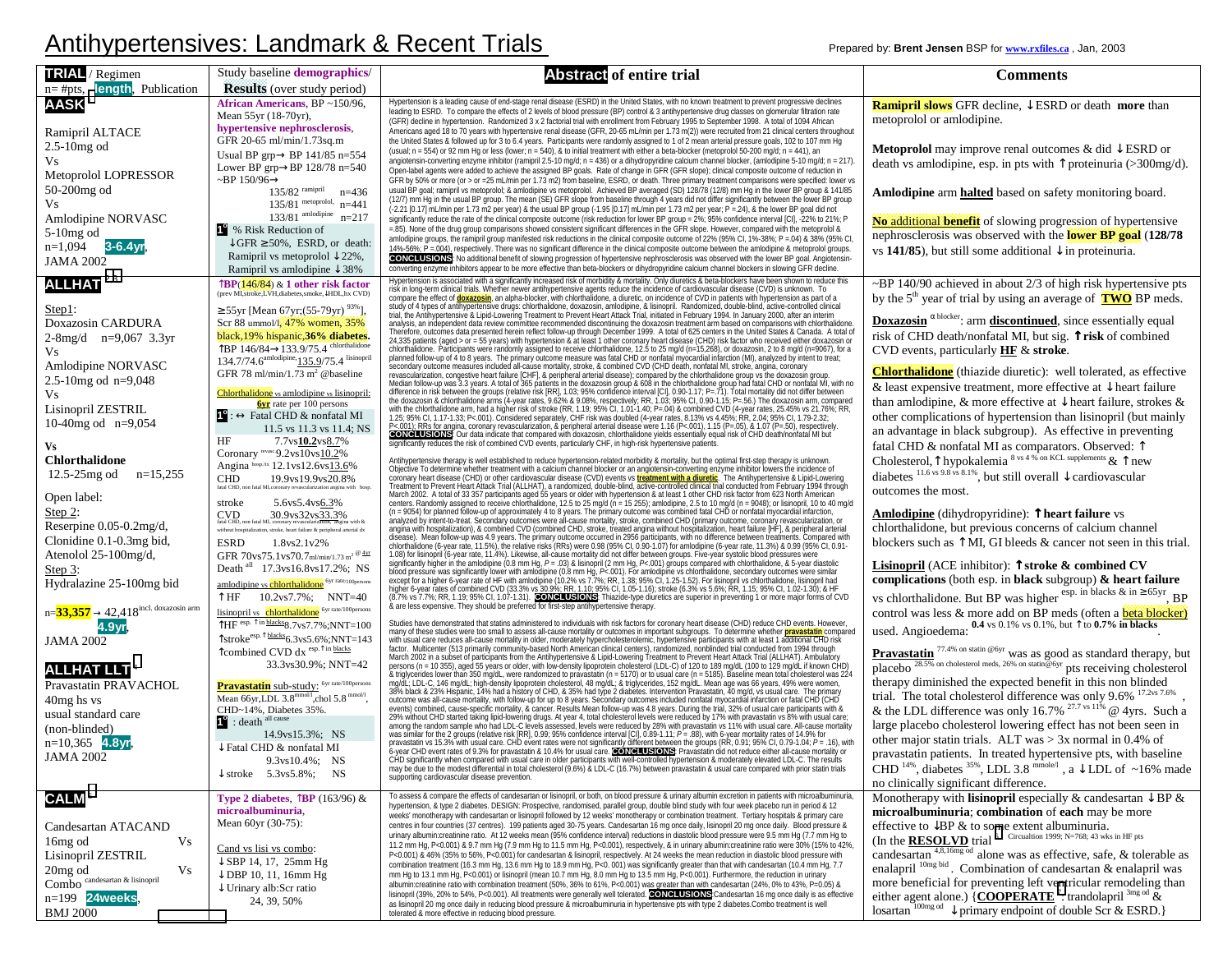## Antihypertensives: Landmark & Recent Trials **Prepared by: Brent Jensen BSP** for www.rxfiles.ca<sub>,</sub> Jan, 2003

| <b>TRIAL</b> / Regimen<br>length, Publication<br>$n = #pts,$ | Study baseline demographics/<br><b>Results</b> (over study period)                                                                                                                                    | <b>Abstract of entire trial</b>                                                                                                                                                                                                                                                                                                                                                                                                                                                                                                                                                                           | <b>Comments</b>                                                                                                                                                           |
|--------------------------------------------------------------|-------------------------------------------------------------------------------------------------------------------------------------------------------------------------------------------------------|-----------------------------------------------------------------------------------------------------------------------------------------------------------------------------------------------------------------------------------------------------------------------------------------------------------------------------------------------------------------------------------------------------------------------------------------------------------------------------------------------------------------------------------------------------------------------------------------------------------|---------------------------------------------------------------------------------------------------------------------------------------------------------------------------|
| <b>AASK</b>                                                  | African Americans, BP ~150/96,<br>Mean 55yr (18-70yr),<br>hypertensive nephrosclerosis,                                                                                                               | Hypertension is a leading cause of end-stage renal disease (ESRD) in the United States, with no known treatment to prevent progressive declines<br>leading to ESRD. To compare the effects of 2 levels of blood pressure (BP) control & 3 antihypertensive drug classes on glomerular filtration rate<br>(GFR) decline in hypertension. Randomized 3 x 2 factorial trial with enrollment from February 1995 to September 1998. A total of 1094 African                                                                                                                                                    | <b>Ramipril slows</b> GFR decline, $\downarrow$ ESRD or death <b>more</b> than<br>metoprolol or amlodipine.                                                               |
| Ramipril ALTACE<br>$2.5-10mg$ od                             | GFR 20-65 ml/min/1.73sq.m<br>Usual BP grp $\rightarrow$ BP 141/85 n=554                                                                                                                               | Americans aged 18 to 70 years with hypertensive renal disease (GFR, 20-65 mL/min per 1.73 m(2)) were recruited from 21 clinical centers throughout<br>the United States & followed up for 3 to 6.4 years. Participants were randomly assigned to 1 of 2 mean arterial pressure goals, 102 to 107 mm Hg<br>(usual; n = 554) or 92 mm Hg or less (lower; n = 540), & to initial treatment with either a beta-blocker (metoprolol 50-200 mg/d; n = 441), an                                                                                                                                                  | <b>Metoprolol</b> may improve renal outcomes & did $\downarrow$ ESRD or                                                                                                   |
| Vs<br>Metoprolol LOPRESSOR                                   | Lower BP grp $\rightarrow$ BP 128/78 n=540<br>~BP 150/96 $\rightarrow$                                                                                                                                | angiotensin-converting enzyme inhibitor (ramipril 2.5-10 mg/d; n = 436) or a dihydropyridine calcium channel blocker, (amlodipine 5-10 mg/d; n = 217)<br>Open-label agents were added to achieve the assigned BP goals. Rate of change in GFR (GFR slope); clinical composite outcome of reduction in<br>GFR by 50% or more (or > or =25 mL/min per 1.73 m2) from baseline, ESRD, or death. Three primary treatment comparisons were specified: lower vs                                                                                                                                                  | death vs amlodipine, esp. in pts with $\uparrow$ proteinuria (>300mg/d).                                                                                                  |
| 50-200mg od<br>Vs                                            | $135/82$ ramipril<br>$n=436$<br>135/81 metoprolol, $n=441$                                                                                                                                            | usual BP goal; ramipril vs metoprolol; & amlodipine vs metoprolol. Achieved BP averaged (SD) 128/78 (12/8) mm Hg in the lower BP group & 141/85<br>(12/7) mm Hg in the usual BP group. The mean (SE) GFR slope from baseline through 4 years did not differ significantly between the lower BP group                                                                                                                                                                                                                                                                                                      | <b>Amlodipine</b> arm <b>halted</b> based on safety monitoring board.                                                                                                     |
| Amlodipine NORVASC<br>5-10mg od                              | 133/81 amlodipine $n=217$<br><sup>2</sup> % Risk Reduction of                                                                                                                                         | (-2.21 [0.17] mL/min per 1.73 m2 per year) & the usual BP group (-1.95 [0.17] mL/min per 1.73 m2 per year; P = 24), & the lower BP goal did not<br>significantly reduce the rate of the clinical composite outcome (risk reduction for lower BP group = 2%; 95% confidence interval [CI], -22% to 21%; P<br>=.85). None of the drug group comparisons showed consistent significant differences in the GFR slope. However, compared with the metoprolol &                                                                                                                                                 | <b>No additional benefit</b> of slowing progression of hypertensive<br>nephrosclerosis was observed with the lower BP goal (128/78)                                       |
| $n=1,094$ 3-6.4yr,<br><b>JAMA 2002</b>                       | $\downarrow$ GFR $\geq$ 50%, ESRD, or death:<br>Ramipril vs metoprolol $\downarrow$ 22%,<br>Ramipril vs amlodipine $\downarrow$ 38%                                                                   | amlodipine groups, the ramipril group manifested risk reductions in the clinical composite outcome of 22% (95% CI, 1%-38%; P = 04) & 38% (95% CI,<br>14%-56%; P = 004), respectively. There was no significant difference in the clinical composite outcome between the amlodipine & metoprolol groups.<br>CONCLUSIONS: No additional benefit of slowing progression of hypertensive nephrosclerosis was observed with the lower BP goal. Angiotensin-<br>converting enzyme inhibitors appear to be more effective than beta-blockers or dihydropyridine calcium channel blockers in slowing GFR decline. | vs 141/85), but still some additional $\downarrow$ in proteinuria.                                                                                                        |
| ALLHAT <sup>2,3</sup>                                        | BP(146/84) & 1 other risk factor<br>prev MI, stroke,LVH, diabetes, smoke, HDL, hx CVD)                                                                                                                | Hypertension is associated with a significantly increased risk of morbidity & mortality. Only diuretics & beta-blockers have been shown to reduce this<br>risk in long-term clinical trials. Whether newer antihypertensive agent<br>compare the effect of <b>doxazosin</b> , an alpha-blocker, with chlorihalidone, a diuretic, on incidence of CVD in patients with hypertension as part of a study of 4 types of antihypertensive drugs: chlorihalidone, doxazosin, am                                                                                                                                 | ~BP 140/90 achieved in about 2/3 of high risk hypertensive pts<br>by the $5th$ year of trial by using an average of $\boxed{\text{TWO}}$ BP meds.                         |
| Step 1:<br>Doxazosin CARDURA                                 | ≥ 55yr [Mean 67yr; (55-79yr) $^{93\%}$ ].<br>Scr 88 ummol/l, 47% women, 35%                                                                                                                           | trial, the Antihypertensive & Lipid-Lowering Treatment to Prevent Heart Attack Trial, initiated in February 1994. In January 2000, after an interim<br>analysis, an independent data review committee recommended discontinuing the doxazosin treatment arm based on comparisons with chlorthalidone.                                                                                                                                                                                                                                                                                                     | <b>Doxazosin</b> $\alpha$ blocker: arm <b>discontinued</b> , since essentially equal                                                                                      |
| $2-8mg/d$ n=9,067 3.3yr<br>Vs.                               | black, 19% hispanic, 36% diabetes.<br>↑BP 146/84→133.9/75.4 chlorthalidone                                                                                                                            | analysis, an independent data review committee recommended discontinuing the doxazosin teratment are nased on comparisons with charge and the United States & Canada. A total of $24.335$ pairs and the United States & Canada                                                                                                                                                                                                                                                                                                                                                                            | risk of CHD death/nonfatal MI, but sig. Trisk of combined<br>CVD events, particularly HF & stroke.                                                                        |
| Amlodipine NORVASC                                           | 134.7/74.6 <sup>amlodipine,</sup> 135.9/75.4 lisinopril<br>GFR 78 ml/min/1.73 m <sup>2</sup> @baseline                                                                                                |                                                                                                                                                                                                                                                                                                                                                                                                                                                                                                                                                                                                           | <b>Chlorthalidone</b> (thiazide diuretic): well tolerated, as effective                                                                                                   |
| 2.5-10mg od $n=9,048$<br>Vs                                  | Chlorthalidone vs amlodipine vs lisinopril:                                                                                                                                                           |                                                                                                                                                                                                                                                                                                                                                                                                                                                                                                                                                                                                           | & least expensive treatment, more effective at $\downarrow$ heart failure                                                                                                 |
| Lisinopril ZESTRIL                                           | <b><u>byr</u></b> rate per 100 persons<br>$\mathbf{C}$ : $\leftrightarrow$ Fatal CHD & nonfatal MI                                                                                                    |                                                                                                                                                                                                                                                                                                                                                                                                                                                                                                                                                                                                           | than amlodipine, & more effective at $\downarrow$ heart failure, strokes &<br>other complications of hypertension than listnopril (but mainly                             |
| 10-40mg od $n=9,054$                                         | 11.5 vs 11.3 vs 11.4; NS<br>7.7ys10.2ys8.7%<br>HF                                                                                                                                                     |                                                                                                                                                                                                                                                                                                                                                                                                                                                                                                                                                                                                           | an advantage in black subgroup). As effective in preventing                                                                                                               |
| Vs<br>Chlorthalidone                                         | Coronary revasc-9.2vs10vs10.2%                                                                                                                                                                        |                                                                                                                                                                                                                                                                                                                                                                                                                                                                                                                                                                                                           | fatal CHD & nonfatal MI as comparators. Observed: 1<br>Cholesterol, $\uparrow$ hypokalemia 8 vs 4 % on KCL supplements & $\uparrow$ new                                   |
| $n=15,255$<br>$12.5 - 25$ mg od                              | Angina hosp./tx 12.1vs12.6vs13.6%<br><b>CHD</b><br>19.9vs19.9vs20.8%                                                                                                                                  | Antihypertensive therapy is well established to reduce hypertension-related morbidity & mortality, but the optimal first-step therapy is unknown.<br>Objective To determine whether treatment with a calcium channel blocker or a<br>Orderwine when the annual matrice and the control of the control of the control of the control of the control or one control of the control of the control of the control of the control of the control of the control of the                                                                                                                                        | diabetes $11.6$ vs 9.8 vs 8.1%, but still overall $\downarrow$ cardiovascular<br>outcomes the most.                                                                       |
| Open label:<br>Step 2:                                       | 5.6vs5.4vs6.3%<br>stroke                                                                                                                                                                              |                                                                                                                                                                                                                                                                                                                                                                                                                                                                                                                                                                                                           | Amlodipine (dihydropyridine): 1 heart failure vs                                                                                                                          |
| Reserpine 0.05-0.2mg/d,                                      | $\text{CVD}\xspace_{\text{fatal CHD, non fatal MI, economy revascularization, angina}} 30.9 \text{vs} 32 \text{vs} 33.3\%$<br>without hospitalization, stroke, heart failure & peripheral arterial dx | angina with hospitalization), & combined CVD (combined CHD, stroke, treated angina without hospitalization, heart failure [HF], & peripheral arteria                                                                                                                                                                                                                                                                                                                                                                                                                                                      | chlorthalidone, but previous concerns of calcium channel                                                                                                                  |
| Clonidine 0.1-0.3mg bid,<br>Atenolol 25-100mg/d,             | 1.8vs2.1v2%<br><b>ESRD</b><br>GFR 70vs75.1vs70.7ml/min/1.73 m <sup>2</sup> $\frac{\textcircled{\tiny{4yr}}}{\text{ }}$                                                                                |                                                                                                                                                                                                                                                                                                                                                                                                                                                                                                                                                                                                           | blockers such as $\uparrow$ MI, GI bleeds & cancer not seen in this trial.                                                                                                |
| Step $3:$                                                    | Death all 17.3 vs 16.8 vs 17.2%; NS                                                                                                                                                                   | angina with nospitalization), & combined CVU (combined CHU, stroke, treated angina without hospitalization, heart failure plHF, & peripheral arterial engine distance of the primary outcome occurred in 2956 participants, w                                                                                                                                                                                                                                                                                                                                                                             | <b>Lisinopril</b> (ACE inhibitor): $\uparrow$ stroke & combined CV<br>complications (both esp. in black subgroup) $\&$ heart failure                                      |
| Hydralazine 25-100mg bid                                     | amlodipine vs chlorthalidone <sup>6yr rate/100persons</sup><br>↑HF<br>$10.2 \text{vs} 7.7\%$ ; NNT=40                                                                                                 |                                                                                                                                                                                                                                                                                                                                                                                                                                                                                                                                                                                                           | vs chlorthalidone. But BP was higher esp. in blacks & in $\geq 65$ yr, BP                                                                                                 |
| $n = 33,357 \rightarrow 42,418$ incl. doxazosin arm          | lisinopril vs chlorthalidone 6yr rate/100persons<br>$\overline{1}_{\text{HF}}$ esp. $\uparrow$ in blacks 8.7 vs 7.7%; NNT=100                                                                         | Studies have demonstrated that statins administered to individuals with risk factors for coronary heart disease (CHD) reduce CHD events. However                                                                                                                                                                                                                                                                                                                                                                                                                                                          | control was less & more add on BP meds (often a <b>beta blocker</b> )                                                                                                     |
| 4.9yr<br><b>JAMA 2002</b>                                    | $\uparrow$ stroke <sup>esp.<math>\uparrow</math>blacks<sub>6.3vs5.6%;NNT=143</sub></sup>                                                                                                              |                                                                                                                                                                                                                                                                                                                                                                                                                                                                                                                                                                                                           | used. Angioedema: $0.4$ vs 0.1% vs 0.1%, but $\uparrow$ to 0.7% in blacks                                                                                                 |
| <b>ALLHAT LLT</b>                                            | Tcombined CVD dx esp. T in blacks<br>33.3vs30.9%; NNT=42                                                                                                                                              |                                                                                                                                                                                                                                                                                                                                                                                                                                                                                                                                                                                                           | <b>Pravastatin</b> $^{77.4\%}$ on statin @6yr was as good as standard therapy, but placebo $^{28.5\%}$ on cholesterol meds, 26% on statin@6yr pts receiving cholesterol   |
| Pravastatin PRAVACHOL                                        | Pravastatin sub-study: 6yr rate/100persons                                                                                                                                                            |                                                                                                                                                                                                                                                                                                                                                                                                                                                                                                                                                                                                           | therapy diminished the expected benefit in this non blinded                                                                                                               |
| 40mg hs vs<br>usual standard care                            | Mean 66yr, LDL 3.8 <sup>mmol1</sup> , chol 5.8 <sup>mmol1</sup> ,<br>CHD~14%, Diabetes 35%.                                                                                                           |                                                                                                                                                                                                                                                                                                                                                                                                                                                                                                                                                                                                           | trial. The total cholesterol difference was only 9.6% 17.2vs 7.6%<br>& the LDL difference was only 16.7% <sup>27.7</sup> vs 11% @ 4yrs. Such a                            |
| (non-blinded)                                                | <sup>1</sup> : death <sup>all cause</sup><br>14.9vs15.3%; NS                                                                                                                                          |                                                                                                                                                                                                                                                                                                                                                                                                                                                                                                                                                                                                           | large placebo cholesterol lowering effect has not been seen in                                                                                                            |
| $n=10,365$ 4.8yr,<br><b>JAMA 2002</b>                        | $\downarrow$ Fatal CHD & nonfatal MI                                                                                                                                                                  |                                                                                                                                                                                                                                                                                                                                                                                                                                                                                                                                                                                                           | other major statin trials. ALT was $> 3x$ normal in 0.4% of<br>pravastatin patients. In treated hypertensive pts, with baseline                                           |
|                                                              | 9.3vs10.4%; NS<br>$\downarrow$ stroke 5.3 vs 5.8%; NS                                                                                                                                                 | Studies have demonstrated that statins administered to individuals with risk factors for coronary heart disease (CHD) reduce CHD events. However, many of these studies were too small to assess all-cause morality or outcome<br>supporting cardiovascular disease prevention.                                                                                                                                                                                                                                                                                                                           | CHD <sup>14%</sup> , diabetes <sup>35%</sup> , LDL 3.8 mmole <sup>1</sup> , a $\downarrow$ LDL of ~16% made<br>no clinically significant difference.                      |
| <b>CALM<sup>5</sup></b>                                      | Type 2 diabetes, $\int$ BP (163/96) &                                                                                                                                                                 | To assess & compare the effects of candesartan or lisinopril, or both, on blood pressure & urinary albumin excretion in patients with microalbuminuria<br>hypertension, & type 2 diabetes. DESIGN: Prospective, randomised, parallel group, double blind study with four week placebo run in period & 12                                                                                                                                                                                                                                                                                                  | Monotherapy with <b>lisinopril</b> especially & candesartan $\downarrow$ BP &                                                                                             |
| Candesartan ATACAND                                          | microalbuminuria,<br>Mean 60yr (30-75):                                                                                                                                                               | weeks' monotherapy with candesartan or lisinopril followed by 12 weeks' monotherapy or combination treatment. Tertiary hospitals & primary care<br>centres in four countries (37 centres). 199 patients aged 30-75 years. Candesartan 16 mg once daily, lisinopril 20 mg once daily. Blood pressure &                                                                                                                                                                                                                                                                                                     | microalbuminuria; combination of each may be more<br>effective to $\downarrow$ BP & to some extent albuminuria.                                                           |
| Vs<br>16 <sub>mg</sub> od                                    | Cand vs lisi vs combo:                                                                                                                                                                                | urinary albumin:creatinine ratio. At 12 weeks mean (95% confidence interval) reductions in diastolic blood pressure were 9.5 mm Hg (7.7 mm Hg to<br>11.2 mm Hg, P<0.001) & 9.7 mm Hg (7.9 mm Hg to 11.5 mm Hg, P<0.001), respectively, & in urinary albumin:creatinine ratio were 30% (15% to 42%,                                                                                                                                                                                                                                                                                                        | (In the <b>RESOLVD</b> trial $^6$ Circualtion 1999; N=768; 43 wks in HF pts<br>candesartan <sup>4,8,16mg</sup> <sup>od</sup> alone was as effective, safe, & tolerable as |
| Lisinopril ZESTRIL<br>Vs<br>20 <sub>mg</sub> od              | $\downarrow$ SBP 14, 17, 25mm Hg                                                                                                                                                                      | P<0.001) & 46% (35% to 56%, P<0.001) for candesartan & lisinopril, respectively. At 24 weeks the mean reduction in diastolic blood pressure with<br>combination treatment (16.3 mm Hg, 13.6 mm Hg to 18.9 mm Hg, P<0.001) was significantly greater than that with candesartan (10.4 mm Hg, 7.7                                                                                                                                                                                                                                                                                                           | enalapril <sup>10mg bid</sup> . Combination of candesartan & enalapril was                                                                                                |
| $\widetilde{\mathrm{Comb}}$ o candesartan & lisinopril       | $\downarrow$ DBP 10, 11, 16mm Hg<br>$\downarrow$ Urinary alb:Scr ratio                                                                                                                                | mm Hg to 13.1 mm Hg, P<0.001) or lisinopril (mean 10.7 mm Hg, 8.0 mm Hg to 13.5 mm Hg, P<0.001). Furthermore, the reduction in urinary<br>albumin:creatinine ratio with combination treatment (50%, 36% to 61%, P<0.001) was greater than with candesartan (24%, 0% to 43%, P=0.05) &<br>lisinopril (39%, 20% to 54%, P<0.001). All treatments were generally well tolerated. CONCLUSIONS: Candesartan 16 mg once daily is as effective                                                                                                                                                                   | more beneficial for preventing left ventricular remodeling than                                                                                                           |
| $n=199$ 24weeks<br><b>BMJ 2000</b>                           | 24, 39, 50%                                                                                                                                                                                           | as lisinopril 20 mg once daily in reducing blood pressure & microalbuminuria in hypertensive pts with type 2 diabetes.Combo treatment is well<br>tolerated & more effective in reducing blood pressure.                                                                                                                                                                                                                                                                                                                                                                                                   | either agent alone.) {COOPERATE <sup>7</sup> : trandolapril $^{3mg}$ od $\&$ losartan $^{100mg}$ od $\downarrow$ primary endpoint of double Scr & ESRD.}                  |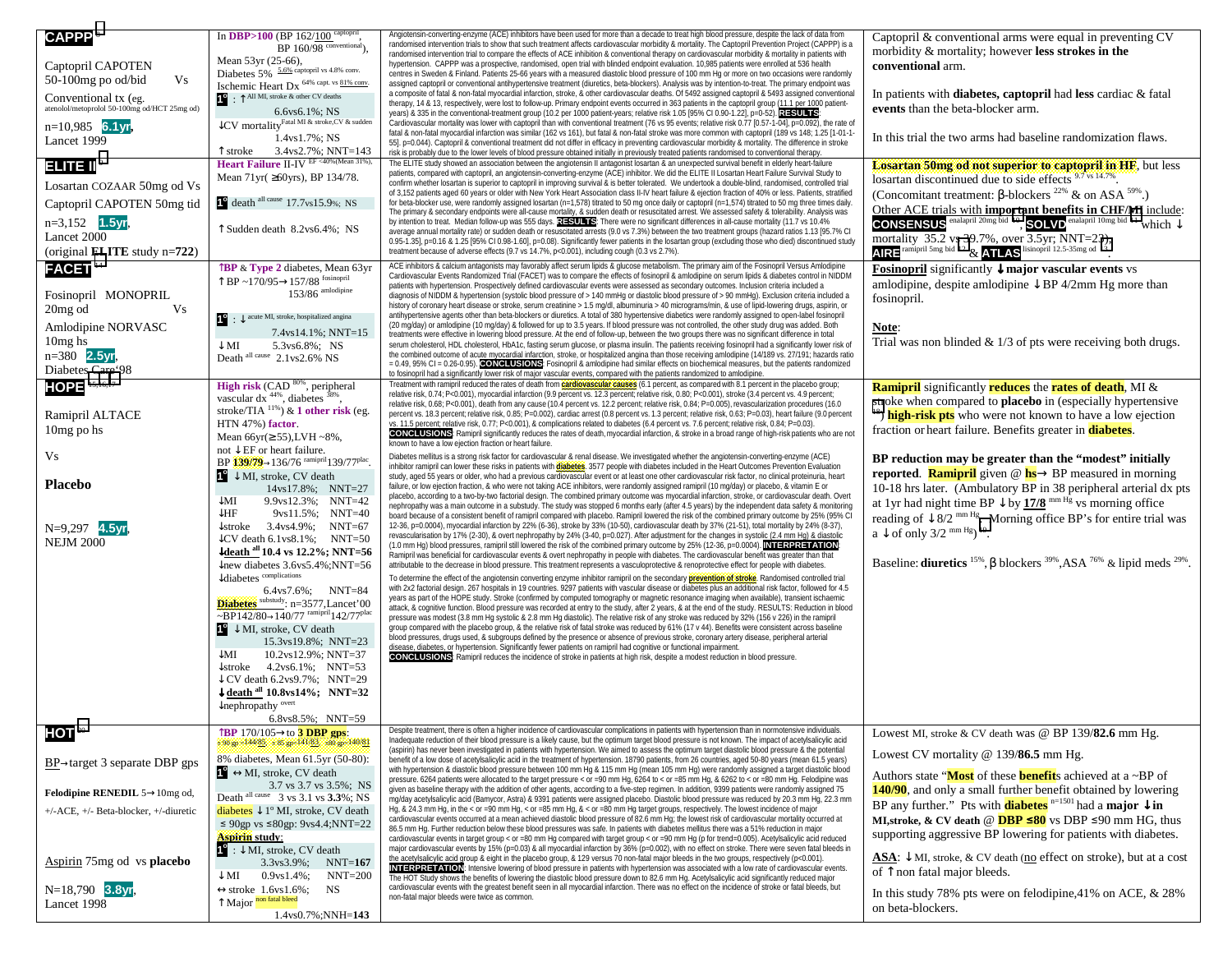| CAPPP <sup>8</sup>                            | In DBP>100 (BP 162/100 captopril,<br>$BP$ 160/98 $\overline{\text{conventional}}$ ).                                                | Angiotensin-c<br>randomised in           |
|-----------------------------------------------|-------------------------------------------------------------------------------------------------------------------------------------|------------------------------------------|
| Captopril CAPOTEN                             | Mean 53yr (25-66),                                                                                                                  | randomised in<br>hypertension.           |
| 50-100mg po od/bid<br>Vs.                     | Diabetes 5% 5.6% captopril vs 4.8% conv.<br>Ischemic Heart Dx 64% capt. vs 81% conv.                                                | centres in Sw<br>assigned capt           |
| Conventional tx (eg.                          | $\bullet$ : $\uparrow$ All MI, stroke & other CV deaths                                                                             | a composite o<br>therapy, 14 &           |
| atenolol/metoprolol 50-100mg od/HCT 25mg od)  | $6.6$ vs $6.1\%$ ; NS                                                                                                               | years) & 335 i                           |
| $n=10,985$ 6.1yr,                             | CV mortality <sup>Fatal MI &amp;</sup> stroke, CV & sudden                                                                          | Cardiovascula<br>fatal & non-fat         |
| Lancet 1999                                   | 1.4ys1.7%; NS<br>$\uparrow$ stroke 3.4vs2.7%; NNT=143                                                                               | 55]. p=0.044).<br>risk is probabl        |
| $H$ in Fil $^{\circ}$                         | Heart Failure II-IV EF <40%(Mean 31%),                                                                                              | The ELITE stu<br>patients, com           |
| Losartan COZAAR 50mg od Vs                    | Mean 71 yr( ≥60 yrs), BP 134/78.                                                                                                    | confirm wheth                            |
| Captopril CAPOTEN 50mg tid                    | death all cause 17.7vs15.9%; NS                                                                                                     | of 3,152 patie<br>for beta-block         |
| $n=3,152$<br>1.5 <sub>vr</sub>                |                                                                                                                                     | The primary &<br>by intention to         |
| Lancet 2000                                   | T Sudden death 8.2vs6.4%; NS                                                                                                        | average annu<br>$0.95 - 1.35$ , p=       |
| (original <b>ELITE</b> study $n=722$ )        |                                                                                                                                     | treatment bec                            |
| FACET <sup>14</sup>                           | TBP & Type 2 diabetes, Mean 63yr                                                                                                    | <b>ACE inhibitors</b><br>Cardiovascula   |
| Fosinopril MONOPRIL                           | $\uparrow$ BP ~170/95 $\rightarrow$ 157/88 fosinopril<br>$153/86$ amlodipine                                                        | patients with <b>h</b><br>diagnosis of N |
| 20 <sub>mg</sub> od<br>Vs                     |                                                                                                                                     | history of cord                          |
| Amlodipine NORVASC                            | $\bullet$ : $\downarrow$ acute MI, stroke, hospitalized angina                                                                      | antihypertens<br>$(20 \text{ mq/day})$   |
| $10mg$ hs                                     | 7.4ys14.1%; NNT=15<br>$\downarrow$ MI<br>5.3vs6.8%; NS                                                                              | treatments we<br>serum choles            |
| $n = 380$ 2.5yr,                              | Death all cause 2.1 vs2.6% NS                                                                                                       | the combined<br>$= 0.49, 95%$            |
| Diabetes Care'98                              |                                                                                                                                     | to fosinopril ha                         |
| <b>HOPE</b> 15,16,17                          | <b>High risk</b> (CAD $^{80\%}$ , peripheral vascular dx $^{44\%}$ , diabetes $^{38\%}$ ,                                           | Treatment wit<br>relative risk, 0        |
| Ramipril ALTACE                               | stroke/TIA $^{11\%}$ ) & 1 other risk (eg.                                                                                          | relative risk, 0<br>percent vs. 18       |
| 10mg po hs                                    | HTN 47%) factor.                                                                                                                    | vs. 11.5 perce<br><b>CONCLUS</b>         |
|                                               | Mean $66yr \geq 55$ ), LVH ~8%,<br>not $\downarrow$ EF or heart failure.                                                            | known to have                            |
| Vs                                            | BP 139/79→136/76 ramipril 139/77 <sup>plac</sup> .                                                                                  | Diabetes mell<br>inhibitor ramip         |
| <b>Placebo</b>                                | $\mathbf{C}^{\bullet}$ $\downarrow$ MI, stroke, CV death<br>$14vs17.8\%$ ; NNT=27                                                   | study, aged 5<br>failure, or low         |
|                                               | ↓MI<br>$9.9 \text{vs} 12.3\%$<br>$NNT=42$                                                                                           | placebo, acco<br>nephropathy v           |
|                                               | $\downarrow$ HF<br>$9 \text{vs} 11.5\%$ ;<br>$NNT=40$                                                                               | board becaus                             |
| $N=9,297$ 4.5 vr.                             | $\downarrow$ stroke<br>$3.4\text{vs}4.9\%$ ;<br>$NNT=67$<br>$\downarrow$ CV death 6.1 vs8.1%;<br>$NNT=50$                           | 12-36, p=0.00<br>revascularisat          |
| <b>NEJM 2000</b>                              | $\downarrow$ death <sup>all</sup> 10.4 vs 12.2%; NNT=56                                                                             | (1.0 mm Hg) t<br>Ramipril was            |
|                                               | $\downarrow$ new diabetes 3.6vs5.4%;NNT=56<br>$\downarrow$ diabetes complications                                                   | attributable to                          |
|                                               | $6.4$ vs $7.6\%$ ;<br>$NNT=84$                                                                                                      | To determine<br>with 2x2 facto           |
|                                               | Diabetes substudy: n=3577, Lancet'00                                                                                                | years as part<br>attack, & cogr          |
|                                               | $\sim$ BP142/80 $\rightarrow$ 140/77 ramipril 142/77 <sup>plac</sup><br>$\mathbf{C}^{\mathbf{C}}$ $\downarrow$ MI, stroke, CV death | pressure was<br>group compar             |
|                                               | 15.3ys19.8%; NNT=23                                                                                                                 | blood pressur<br>disease, diab           |
|                                               | $\downarrow$ MI<br>10.2ys12.9%; NNT=37                                                                                              | <b>CONCLUS</b>                           |
|                                               | $\downarrow$ stroke<br>$4.2vs6.1\%$ ; NNT=53<br>$\downarrow$ CV death 6.2vs9.7%; NNT=29                                             |                                          |
|                                               | $\downarrow$ death <sup>all</sup> 10.8vs14%; NNT=32                                                                                 |                                          |
|                                               | $\downarrow$ nephropathy <sup>overt</sup><br>6.8vs8.5%; NNT=59                                                                      |                                          |
| HOT <sup>20</sup>                             | TBP 170/105→to 3 DBP gps:                                                                                                           | Despite treatn                           |
|                                               | \$90 gp =144/85, <85 gp -141/83, <80 gp -140/81                                                                                     | Inadequate re<br>(aspirin) has r         |
| $BP \rightarrow target 3$ separate DBP gps    | 8% diabetes, Mean 61.5yr (50-80):                                                                                                   | benefit of a lo<br>with hyperten:        |
|                                               | $\mathbf{C}^{\bullet} \leftrightarrow \mathbf{MI}$ , stroke, CV death<br>3.7 vs 3.7 vs 3.5%; NS                                     | pressure. 626<br>given as base           |
| Felodipine RENEDIL $5\rightarrow 10$ mg od,   | Death all cause<br>3 vs 3.1 vs 3.3%; NS                                                                                             | mg/day acetyl                            |
| $+/-$ ACE, $+/-$ Beta-blocker, $+/-$ diuretic | diabetes $\downarrow$ 1 <sup>°</sup> MI, stroke, CV death<br>≤ 90gp vs ≤80gp: 9vs4.4;NNT=22                                         | Hg, & 24.3 mr<br>cardiovascula           |
|                                               | <b>Aspirin</b> study:                                                                                                               | 86.5 mm Hg.<br>cardiovascula             |
|                                               | $\mathbf{C}$ : $\downarrow$ MI, stroke, CV death                                                                                    | major cardiov<br>the acetylsalic         |
| Aspirin 75mg od vs <b>placebo</b>             | $3.3\text{vs}3.9\%$ ;<br>NNT=167<br>$\downarrow$ MI<br>$0.9vs1.4\%;$<br>$NNT=200$                                                   | <b>INTERPRE</b>                          |
| $N=18,790$ 3.8yr,                             | $\leftrightarrow$ stroke 1.6vs1.6%;<br>NS                                                                                           | The HOT Stur<br>cardiovascula            |
| Lancet 1998                                   | T Major non fatal bleed                                                                                                             | non-fatal majo                           |
|                                               | $1.4$ vs $0.7\%$ ; NNH=143                                                                                                          |                                          |

| nal <sub>)</sub>          | Angiotensin-converting-enzyme (ACE) inhibitors have been used for more than a decade to treat high blood pressure, despite the lack of data from<br>randomised intervention trials to show that such treatment affects cardiovascular morbidity & mortality. The Captopril Prevention Project (CAPPP) is a                                                                                                                                                                                                                                                                                                                    | Captopril & conventional arms were equal in preventing CV<br>morbidity & mortality; however less strokes in the                                            |
|---------------------------|-------------------------------------------------------------------------------------------------------------------------------------------------------------------------------------------------------------------------------------------------------------------------------------------------------------------------------------------------------------------------------------------------------------------------------------------------------------------------------------------------------------------------------------------------------------------------------------------------------------------------------|------------------------------------------------------------------------------------------------------------------------------------------------------------|
| ıv.                       | randomised intervention trial to compare the effects of ACE inhibition & conventional therapy on cardiovascular morbidity & mortality in patients with<br>hypertension. CAPPP was a prospective, randomised, open trial with blinded endpoint evaluation. 10,985 patients were enrolled at 536 health                                                                                                                                                                                                                                                                                                                         | conventional arm.                                                                                                                                          |
| conv.                     | centres in Sweden & Finland. Patients 25-66 years with a measured diastolic blood pressure of 100 mm Hg or more on two occasions were randomly<br>assigned captopril or conventional antihypertensive treatment (diuretics, beta-blockers). Analysis was by intention-to-treat. The primary endpoint was<br>a composite of fatal & non-fatal myocardial infarction, stroke, & other cardiovascular deaths. Of 5492 assigned captopril & 5493 assigned conventional<br>therapy, 14 & 13, respectively, were lost to follow-up. Primary endpoint events occurred in 363 patients in the captopril group (11.1 per 1000 patient- | In patients with diabetes, captopril had less cardiac & fatal                                                                                              |
| sudden                    | years) & 335 in the conventional-treatment group (10.2 per 1000 patient-years; relative risk 1.05 [95% CI 0.90-1.22], p=0-52). RESULTS:<br>Cardiovascular mortality was lower with captopril than with conventional treatment (76 vs 95 events; relative risk 0.77 [0.57-1-04], p=0.092), the rate of                                                                                                                                                                                                                                                                                                                         | events than the beta-blocker arm.                                                                                                                          |
| :143                      | fatal & non-fatal myocardial infarction was similar (162 vs 161), but fatal & non-fatal stroke was more common with captopril (189 vs 148; 1.25 [1-01-1-<br>55]. p=0.044). Captopril & conventional treatment did not differ in efficacy in preventing cardiovascular morbidity & mortality. The difference in stroke<br>risk is probably due to the lower levels of blood pressure obtained initially in previously treated patients randomised to conventional therapy.                                                                                                                                                     | In this trial the two arms had baseline randomization flaws.                                                                                               |
| ı 31%),<br>Ŝ.             | The ELITE study showed an association between the angiotensin II antagonist losartan & an unexpected survival benefit in elderly heart-failure<br>patients, compared with captopril, an angiotensin-converting-enzyme (ACE) inhibitor. We did the ELITE II Losartan Heart Failure Survival Study to                                                                                                                                                                                                                                                                                                                           | <b>Losartan 50mg od not superior to captopril in HF</b> , but less                                                                                         |
|                           | confirm whether losartan is superior to captopril in improving survival & is better tolerated. We undertook a double-blind, randomised, controlled trial<br>of 3,152 patients aged 60 years or older with New York Heart Association class II-IV heart failure & ejection fraction of 40% or less. Patients, stratified                                                                                                                                                                                                                                                                                                       | losartan discontinued due to side effects 9.7 vs 14.7%<br>(Concomitant treatment: $\beta$ -blockers <sup>22%</sup> & on ASA <sup>59%</sup> .)              |
| S                         | for beta-blocker use, were randomly assigned losartan (n=1,578) titrated to 50 mg once daily or captopril (n=1,574) titrated to 50 mg three times daily.<br>The primary & secondary endpoints were all-cause mortality, & sudden death or resuscitated arrest. We assessed safety & tolerability. Analysis was                                                                                                                                                                                                                                                                                                                | Other ACE trials with important benefits in CHF/MI include:                                                                                                |
| S                         | by intention to treat. Median follow-up was 555 days. RESULTS: There were no significant differences in all-cause mortality (11.7 vs 10.4%<br>average annual mortality rate) or sudden death or resuscitated arrests (9.0 vs 7.3%) between the two treatment groups (hazard ratios 1.13 [95.7% CI                                                                                                                                                                                                                                                                                                                             | <b>CONSENSUS</b> enalapril 20mg bid 10, SOLVD enalapril 10mg bid 11 which $\downarrow$                                                                     |
|                           | 0.95-1.35], p=0.16 & 1.25 [95% CI 0.98-1.60], p=0.08). Significantly fewer patients in the losartan group (excluding those who died) discontinued study<br>treatment because of adverse effects (9.7 vs 14.7%, p<0.001), including cough (0.3 vs 2.7%).                                                                                                                                                                                                                                                                                                                                                                       | mortality $35.2$ vs $39.7\%$ , over $3.5$ yr; NNT=23),<br>AIRE ramipril 5mg bid 12 & ATLAS lisinopril 12.5-35mg od 13.                                     |
| 63yr                      | ACE inhibitors & calcium antagonists may favorably affect serum lipids & glucose metabolism. The primary aim of the Fosinopril Versus Amlodipine<br>Cardiovascular Events Randomized Trial (FACET) was to compare the effects of fosinopril & amlodipine on serum lipids & diabetes control in NIDDM<br>patients with hypertension. Prospectively defined cardiovascular events were assessed as secondary outcomes. Inclusion criteria included a                                                                                                                                                                            | <b>Fosinopril</b> significantly $\downarrow$ major vascular events vs<br>amlodipine, despite amlodipine $\downarrow$ BP 4/2mm Hg more than                 |
|                           | diagnosis of NIDDM & hypertension (systolic blood pressure of > 140 mmHg or diastolic blood pressure of > 90 mmHg). Exclusion criteria included a<br>history of coronary heart disease or stroke, serum creatinine > 1.5 mg/dl, albuminuria > 40 micrograms/min, & use of lipid-lowering drugs, aspirin, or                                                                                                                                                                                                                                                                                                                   | fosinopril.                                                                                                                                                |
|                           | antihypertensive agents other than beta-blockers or diuretics. A total of 380 hypertensive diabetics were randomly assigned to open-label fosinopril<br>(20 mg/day) or amlodipine (10 mg/day) & followed for up to 3.5 years. If blood pressure was not controlled, the other study drug was added. Both                                                                                                                                                                                                                                                                                                                      | Note:                                                                                                                                                      |
| =15                       | treatments were effective in lowering blood pressure. At the end of follow-up, between the two groups there was no significant difference in total<br>serum cholesterol, HDL cholesterol, HbA1c, fasting serum glucose, or plasma insulin. The patients receiving fosinopril had a significantly lower risk of                                                                                                                                                                                                                                                                                                                | Trial was non blinded $& 1/3$ of pts were receiving both drugs.                                                                                            |
|                           | the combined outcome of acute myocardial infarction, stroke, or hospitalized angina than those receiving amlodipine (14/189 vs. 27/191; hazards ratio<br>= 0.49, 95% CI = 0.26-0.95). CONCLUSIONS: Fosinopril & amlodipine had similar effects on biochemical measures, but the patients randomized<br>to fosinopril had a significantly lower risk of major vascular events, compared with the patients randomized to amlodipine.                                                                                                                                                                                            |                                                                                                                                                            |
|                           | Treatment with ramipril reduced the rates of death from <b>cardiovascular causes</b> (6.1 percent, as compared with 8.1 percent in the placebo group;<br>relative risk, 0.74; P<0.001), myocardial infarction (9.9 percent vs. 12.3 percent; relative risk, 0.80; P<0.001), stroke (3.4 percent vs. 4.9 percent;                                                                                                                                                                                                                                                                                                              | <b>Ramipril</b> significantly <b>reduces</b> the <b>rates of death</b> , MI &                                                                              |
| (eg.                      | relative risk, 0.68; P<0.001), death from any cause (10.4 percent vs. 12.2 percent; relative risk, 0.84; P=0.005), revascularization procedures (16.0<br>percent vs. 18.3 percent; relative risk, 0.85; P=0.002), cardiac arrest (0.8 percent vs. 1.3 percent; relative risk, 0.63; P=0.03), heart failure (9.0 percent                                                                                                                                                                                                                                                                                                       | stroke when compared to <b>placebo</b> in (especially hypertensive<br><sup>18</sup> ) <b>high-risk pts</b> who were not known to have a low ejection       |
|                           | vs. 11.5 percent; relative risk, 0.77; P<0.001), & complications related to diabetes (6.4 percent vs. 7.6 percent; relative risk, 0.84; P=0.03).<br>CONCLUSIONS: Ramipril significantly reduces the rates of death, myocardial infarction, & stroke in a broad range of high-risk patients who are not<br>known to have a low ejection fraction or heart failure.                                                                                                                                                                                                                                                             | fraction or heart failure. Benefits greater in diabetes.                                                                                                   |
| 7 <sup>plac</sup>         | Diabetes mellitus is a strong risk factor for cardiovascular & renal disease. We investigated whether the angiotensin-converting-enzyme (ACE)<br>inhibitor ramipril can lower these risks in patients with <b>diabetes</b> . 3577 people with diabetes included in the Heart Outcomes Prevention Evaluation                                                                                                                                                                                                                                                                                                                   | BP reduction may be greater than the "modest" initially<br>reported. <b>Ramipril</b> given $@$ <b>hs</b> $\rightarrow$ BP measured in morning              |
| $=27$                     | study, aged 55 years or older, who had a previous cardiovascular event or at least one other cardiovascular risk factor, no clinical proteinuria, heart<br>failure, or low ejection fraction, & who were not taking ACE inhibitors, were randomly assigned ramipril (10 mg/day) or placebo, & vitamin E or                                                                                                                                                                                                                                                                                                                    | 10-18 hrs later. (Ambulatory BP in 38 peripheral arterial dx pts                                                                                           |
| =42<br>$=40$              | placebo, according to a two-by-two factorial design. The combined primary outcome was myocardial infarction, stroke, or cardiovascular death. Overt<br>nephropathy was a main outcome in a substudy. The study was stopped 6 months early (after 4.5 years) by the independent data safety & monitoring<br>board because of a consistent benefit of ramipril compared with placebo. Ramipril lowered the risk of the combined primary outcome by 25% (95% CI                                                                                                                                                                  | at 1 yr had night time BP $\downarrow$ by 17/8 <sup>mm Hg</sup> vs morning office                                                                          |
| =67                       | 12-36, p=0.0004), myocardial infarction by 22% (6-36), stroke by 33% (10-50), cardiovascular death by 37% (21-51), total mortality by 24% (8-37),<br>revascularisation by 17% (2-30), & overt nephropathy by 24% (3-40, p=0.027). After adjustment for the changes in systolic (2.4 mm Hg) & diastolic                                                                                                                                                                                                                                                                                                                        | reading of $\downarrow$ 8/2 <sup>mm Hg</sup> . Morning office BP's for entire trial was<br>$a \downarrow$ of only 3/2 nm Hg $^{19}$ .                      |
| $= 50$<br>$=56$           | (1.0 mm Hg) blood pressures, ramipril still lowered the risk of the combined primary outcome by 25% (12-36, p=0.0004). INTERPRETATION<br>Ramipril was beneficial for cardiovascular events & overt nephropathy in people with diabetes. The cardiovascular benefit was greater than that                                                                                                                                                                                                                                                                                                                                      |                                                                                                                                                            |
| $= 56$                    | attributable to the decrease in blood pressure. This treatment represents a vasculoprotective & renoprotective effect for people with diabetes.<br>To determine the effect of the angiotensin converting enzyme inhibitor ramipril on the secondary <b>prevention of stroke</b> . Randomised controlled trial                                                                                                                                                                                                                                                                                                                 | Baseline: diuretics $^{15\%}$ , $\beta$ blockers $^{39\%}$ , ASA $^{76\%}$ & lipid meds $^{29\%}$                                                          |
| =84                       | with 2x2 factorial design. 267 hospitals in 19 countries. 9297 patients with vascular disease or diabetes plus an additional risk factor, followed for 4.5<br>years as part of the HOPE study. Stroke (confirmed by computed tomography or magnetic resonance imaging when available), transient ischaemic                                                                                                                                                                                                                                                                                                                    |                                                                                                                                                            |
| t'00<br>7 <sup>plac</sup> | attack, & cognitive function. Blood pressure was recorded at entry to the study, after 2 years, & at the end of the study. RESULTS: Reduction in blood<br>pressure was modest (3.8 mm Hg systolic & 2.8 mm Hg diastolic). The relative risk of any stroke was reduced by 32% (156 v 226) in the ramipril                                                                                                                                                                                                                                                                                                                      |                                                                                                                                                            |
| $= 23$                    | group compared with the placebo group, & the relative risk of fatal stroke was reduced by 61% (17 v 44). Benefits were consistent across baseline<br>blood pressures, drugs used, & subgroups defined by the presence or absence of previous stroke, coronary artery disease, peripheral arterial                                                                                                                                                                                                                                                                                                                             |                                                                                                                                                            |
| :37                       | disease, diabetes, or hypertension. Significantly fewer patients on ramipril had cognitive or functional impairment.<br><b>CONCLUSIONS:</b> Ramipril reduces the incidence of stroke in patients at high risk, despite a modest reduction in blood pressure.                                                                                                                                                                                                                                                                                                                                                                  |                                                                                                                                                            |
| :53<br>=29                |                                                                                                                                                                                                                                                                                                                                                                                                                                                                                                                                                                                                                               |                                                                                                                                                            |
| $= 32$                    |                                                                                                                                                                                                                                                                                                                                                                                                                                                                                                                                                                                                                               |                                                                                                                                                            |
| :59                       | Despite treatment, there is often a higher incidence of cardiovascular complications in patients with hypertension than in normotensive individuals.                                                                                                                                                                                                                                                                                                                                                                                                                                                                          | Lowest MI, stroke & CV death was @ BP 139/82.6 mm Hg.                                                                                                      |
| 10/81<br>80):             | Inadequate reduction of their blood pressure is a likely cause, but the optimum target blood pressure is not known. The impact of acetylsalicylic acid<br>(aspirin) has never been investigated in patients with hypertension. We aimed to assess the optimum target diastolic blood pressure & the potential<br>benefit of a low dose of acetylsalicylic acid in the treatment of hypertension. 18790 patients, from 26 countries, aged 50-80 years (mean 61.5 years)                                                                                                                                                        | Lowest CV mortality @ 139/86.5 mm Hg.                                                                                                                      |
|                           | with hypertension & diastolic blood pressure between 100 mm Hg & 115 mm Hg (mean 105 mm Hg) were randomly assigned a target diastolic blood<br>pressure. 6264 patients were allocated to the target pressure < or =90 mm Hq, 6264 to < or =85 mm Hq, & 6262 to < or =80 mm Hq. Felodipine was                                                                                                                                                                                                                                                                                                                                 | Authors state "Most of these <b>benefit</b> s achieved at a $\sim$ BP of                                                                                   |
| <b>NS</b><br>NS           | given as baseline therapy with the addition of other agents, according to a five-step regimen. In addition, 9399 patients were randomly assigned 75<br>mg/day acetylsalicylic acid (Bamycor, Astra) & 9391 patients were assigned placebo. Diastolic blood pressure was reduced by 20.3 mm Hg, 22.3 mm                                                                                                                                                                                                                                                                                                                        | 140/90, and only a small further benefit obtained by lowering                                                                                              |
| eath                      | Hg, & 24.3 mm Hg, in the < or =90 mm Hg, < or =85 mm Hg, & < or =80 mm Hg target groups, respectively. The lowest incidence of major<br>cardiovascular events occurred at a mean achieved diastolic blood pressure of 82.6 mm Hq; the lowest risk of cardiovascular mortality occurred at                                                                                                                                                                                                                                                                                                                                     | BP any further." Pts with <b>diabetes</b> $n=1501$ had a <b>major</b> $\downarrow$ in<br>MI, stroke, & CV death @ $DBP \le 80$ vs DBP $\le 90$ mm HG, thus |
| $=22$                     | 86.5 mm Hg. Further reduction below these blood pressures was safe. In patients with diabetes mellitus there was a 51% reduction in major<br>cardiovascular events in target group < or =80 mm Hg compared with target group < or =90 mm Hg (p for trend=0.005). Acetylsalicylic acid reduced                                                                                                                                                                                                                                                                                                                                 | supporting aggressive BP lowering for patients with diabetes.                                                                                              |
| :167                      | major cardiovascular events by 15% (p=0.03) & all myocardial infarction by 36% (p=0.002), with no effect on stroke. There were seven fatal bleeds in<br>the acetylsalicylic acid group & eight in the placebo group, & 129 versus 70 non-fatal major bleeds in the two groups, respectively (p<0.001).<br><b>INTERPRETATION:</b> Intensive lowering of blood pressure in patients with hypertension was associated with a low rate of cardiovascular events.                                                                                                                                                                  | ASA: ↓ MI, stroke, & CV death (no effect on stroke), but at a cost                                                                                         |
| -200                      | The HOT Study shows the benefits of lowering the diastolic blood pressure down to 82.6 mm Hg. Acetylsalicylic acid significantly reduced major<br>cardiovascular events with the greatest benefit seen in all myocardial infarction. There was no effect on the incidence of stroke or fatal bleeds, but                                                                                                                                                                                                                                                                                                                      | of $\uparrow$ non fatal major bleeds.                                                                                                                      |
| 143                       | non-fatal major bleeds were twice as common.                                                                                                                                                                                                                                                                                                                                                                                                                                                                                                                                                                                  | In this study 78% pts were on felodipine, 41% on ACE, & 28%<br>on beta-blockers.                                                                           |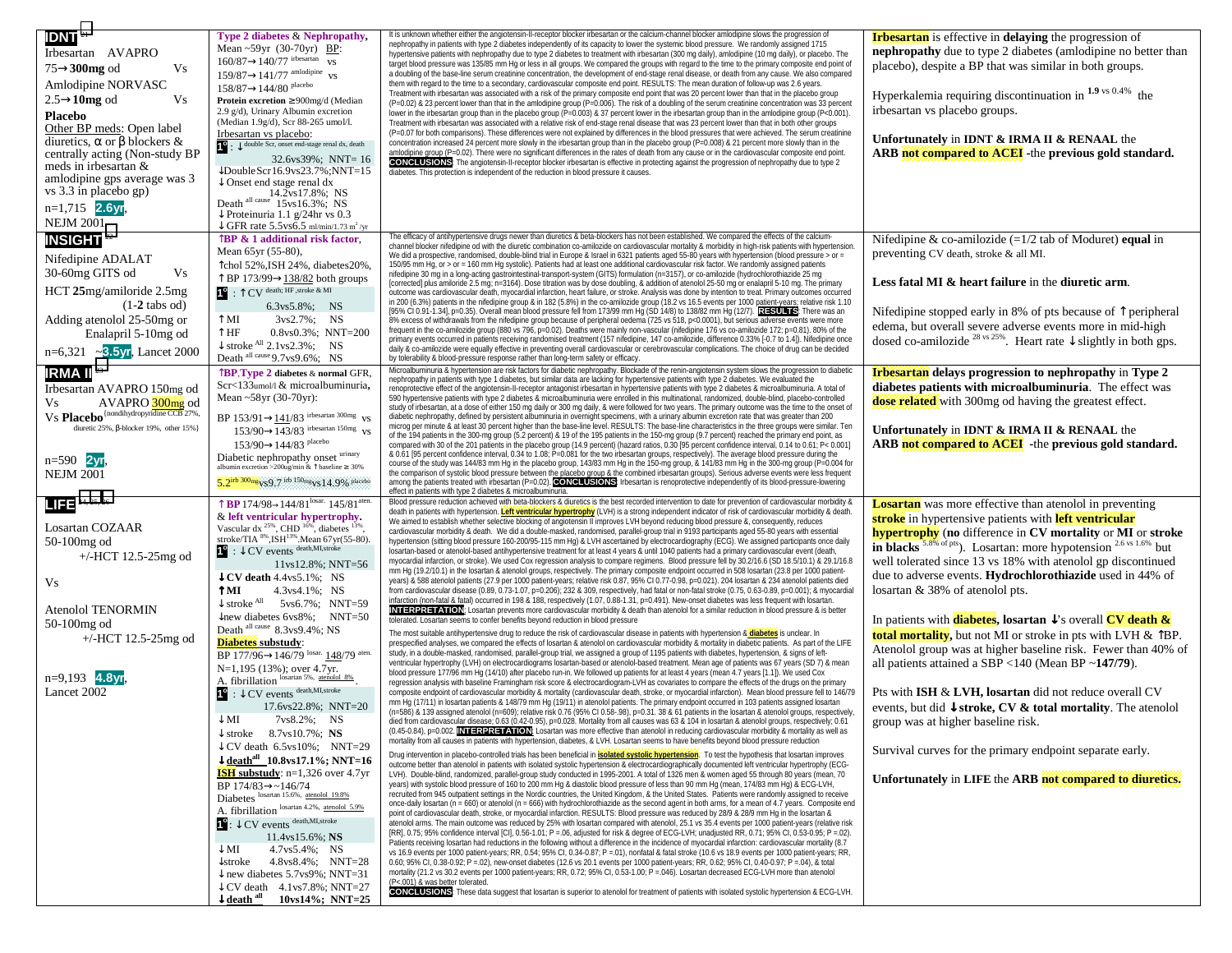| <b>IDNT<sup>21</sup></b>                                       | Type 2 diabetes & Nephropathy,                                                                                              | It is unknown whether either the angiotensin-II-receptor blocker irbesartan or the calcium-channel blocker amlodipine slows the progression of                                                                                                                                                                    | <b>Irbesartan</b> is effective in <b>delaying</b> the progression of                                 |
|----------------------------------------------------------------|-----------------------------------------------------------------------------------------------------------------------------|-------------------------------------------------------------------------------------------------------------------------------------------------------------------------------------------------------------------------------------------------------------------------------------------------------------------|------------------------------------------------------------------------------------------------------|
| Irbesartan AVAPRO                                              | Mean $\sim$ 59yr (30-70yr) BP:                                                                                              | nephropathy in patients with type 2 diabetes independently of its capacity to lower the systemic blood pressure. We randomly assigned 1715<br>hypertensive patients with nephropathy due to type 2 diabetes to treatment with irbesartan (300 mg daily), amlodipine (10 mg daily), or placebo. The                | nephropathy due to type 2 diabetes (amlodipine no better than                                        |
|                                                                | $160/87 \rightarrow 140/77$ irbesartan VS                                                                                   | target blood pressure was 135/85 mm Hg or less in all groups. We compared the groups with regard to the time to the primary composite end point of                                                                                                                                                                | placebo), despite a BP that was similar in both groups.                                              |
| $75 \rightarrow 300$ mg od<br>Vs                               | $159/87 \rightarrow 141/77$ amlodipine vs                                                                                   | a doubling of the base-line serum creatinine concentration, the development of end-stage renal disease, or death from any cause. We also compared                                                                                                                                                                 |                                                                                                      |
| Amlodipine NORVASC                                             | $158/87 \rightarrow 144/80$ placebo                                                                                         | them with regard to the time to a secondary, cardiovascular composite end point. RESULTS: The mean duration of follow-up was 2.6 years.<br>Treatment with irbesartan was associated with a risk of the primary composite end point that was 20 percent lower than that in the placebo group                       |                                                                                                      |
| $2.5 \rightarrow 10$ mg od<br>Vs                               | <b>Protein excretion</b> $\geq 900$ mg/d (Median                                                                            | (P=0.02) & 23 percent lower than that in the amlodipine group (P=0.006). The risk of a doubling of the serum creatinine concentration was 33 percent                                                                                                                                                              | Hyperkalemia requiring discontinuation in $1.9$ vs 0.4% the                                          |
| <b>Placebo</b>                                                 | 2.9 g/d), Urinary Albumin excretion                                                                                         | lower in the irbesartan group than in the placebo group (P=0.003) & 37 percent lower in the irbesartan group than in the amlodipine group (P<0.001).                                                                                                                                                              | irbesartan vs placebo groups.                                                                        |
| Other BP meds: Open label                                      | (Median 1.9g/d), Scr 88-265 umol/l.                                                                                         | Treatment with irbesartan was associated with a relative risk of end-stage renal disease that was 23 percent lower than that in both other groups                                                                                                                                                                 |                                                                                                      |
| diuretics, $\alpha$ or $\beta$ blockers &                      | Irbesartan vs placebo:<br>$\bigcup$ : $\bigcup$ double Scr, onset end-stage renal dx, death                                 | (P=0.07 for both comparisons). These differences were not explained by differences in the blood pressures that were achieved. The serum creatinine<br>concentration increased 24 percent more slowly in the irbesartan group than in the placebo group (P=0.008) & 21 percent more slowly than in the             | Unfortunately in IDNT $\&$ IRMA II $\&$ RENAAL the                                                   |
| centrally acting (Non-study BP)                                |                                                                                                                             | amlodipine group (P=0.02). There were no significant differences in the rates of death from any cause or in the cardiovascular composite end point                                                                                                                                                                | ARB <b>not compared to ACEI</b> - the previous gold standard.                                        |
| meds in irbesartan &                                           | $32.6vs39\%$ ; NNT= 16                                                                                                      | <b>CONCLUSIONS:</b> The angiotensin-II-receptor blocker irbesartan is effective in protecting against the progression of nephropathy due to type 2                                                                                                                                                                |                                                                                                      |
| amlodipine gps average was 3                                   | $\nu$ Double Scr 16.9vs23.7%;NNT=15<br>$\downarrow$ Onset end stage renal dx                                                | diabetes. This protection is independent of the reduction in blood pressure it causes.                                                                                                                                                                                                                            |                                                                                                      |
| vs 3.3 in placebo gp)                                          |                                                                                                                             |                                                                                                                                                                                                                                                                                                                   |                                                                                                      |
| $n=1,715$ 2.6yr,                                               | 14.2vs17.8%; NS<br>Death <sup>all cause</sup> 15vs16.3%; NS                                                                 |                                                                                                                                                                                                                                                                                                                   |                                                                                                      |
| <b>NEJM 2001</b>                                               | Proteinuria 1.1 g/24hr vs 0.3                                                                                               |                                                                                                                                                                                                                                                                                                                   |                                                                                                      |
|                                                                | $\downarrow$ GFR rate 5.5 vs6.5 ml/min/1.73 m <sup>2</sup> /yr                                                              |                                                                                                                                                                                                                                                                                                                   |                                                                                                      |
| <b>INSIGHT</b> <sup>22</sup>                                   | $\mathbb{R}$ P & 1 additional risk factor,                                                                                  | The efficacy of antihypertensive drugs newer than diuretics & beta-blockers has not been established. We compared the effects of the calcium-<br>channel blocker nifedipine od with the diuretic combination co-amilozide on cardiovascular mortality & morbidity in high-risk patients with hypertension         | Nifedipine & co-amilozide $(=1/2$ tab of Moduret) equal in                                           |
| Nifedipine ADALAT                                              | Mean 65yr (55-80),                                                                                                          | We did a prospective, randomised, double-blind trial in Europe & Israel in 6321 patients aged 55-80 years with hypertension (blood pressure > or =                                                                                                                                                                | preventing CV death, stroke & all MI.                                                                |
| <b>Vs</b><br>30-60mg GITS od                                   | Tchol 52%, ISH 24%, diabetes 20%,                                                                                           | 150/95 mm Hg, or > or = 160 mm Hg systolic). Patients had at least one additional cardiovascular risk factor. We randomly assigned patients<br>nifedipine 30 mg in a long-acting gastrointestinal-transport-system (GITS) formulation (n=3157), or co-amilozide (hydrochlorothiazide 25 mg                        |                                                                                                      |
|                                                                | $\uparrow$ BP 173/99 $\rightarrow$ 138/82 both groups                                                                       | [corrected] plus amiloride 2.5 mg; n=3164). Dose titration was by dose doubling, & addition of atenolol 25-50 mg or enalapril 5-10 mg. The primary                                                                                                                                                                | Less fatal MI & heart failure in the diuretic arm.                                                   |
| HCT 25mg/amiloride 2.5mg                                       | $\bullet$ : $\uparrow$ CV death; HF , stroke & MI                                                                           | outcome was cardiovascular death, myocardial infarction, heart failure, or stroke. Analysis was done by intention to treat. Primary outcomes occurred                                                                                                                                                             |                                                                                                      |
| $(1-2$ tabs od)                                                | $6.3vs5.8\%;$ NS                                                                                                            | in 200 (6.3%) patients in the nifedipine group & in 182 (5.8%) in the co-amilozide group (18.2 vs 16.5 events per 1000 patient-years; relative risk 1.10<br>[95% CI 0.91-1.34], p=0.35). Overall mean blood pressure fell from 173/99 mm Hg (SD 14/8) to 138/82 mm Hg (12/7). RESULTS: There was an               | Nifedipine stopped early in 8% of pts because of $\uparrow$ peripheral                               |
| Adding atenolol 25-50mg or                                     | ↑MI<br>$3vs2.7\%;$ NS                                                                                                       | 8% excess of withdrawals from the nifedipine group because of peripheral oedema (725 vs 518, p<0.0001), but serious adverse events were more                                                                                                                                                                      | edema, but overall severe adverse events more in mid-high                                            |
| Enalapril 5-10mg od                                            | t hf<br>$0.8$ vs $0.3\%$ ; NNT=200                                                                                          | frequent in the co-amilozide group (880 vs 796, p=0.02). Deaths were mainly non-vascular (nifedipine 176 vs co-amilozide 172; p=0.81). 80% of the                                                                                                                                                                 |                                                                                                      |
| $n=6,321$ ~3.5yr, Lancet 2000                                  | $\downarrow$ stroke <sup>All</sup> 2.1 vs2.3%; NS                                                                           | primary events occurred in patients receiving randomised treatment (157 nifedipine, 147 co-amilozide, difference 0.33% [-0.7 to 1.4]). Nifedipine once<br>daily & co-amilozide were equally effective in preventing overall cardiovascular or cerebrovascular complications. The choice of drug can be decided    | dosed co-amilozide <sup>28 vs 25%</sup> . Heart rate $\downarrow$ slightly in both gps.              |
|                                                                | Death all cause 9.7vs9.6%; NS                                                                                               | by tolerability & blood-pressure response rather than long-term safety or efficacy.                                                                                                                                                                                                                               |                                                                                                      |
| IRMA II <sup>23</sup>                                          | <b>TBP, Type 2 diabetes &amp; normal GFR,</b>                                                                               | Microalbuminuria & hypertension are risk factors for diabetic nephropathy. Blockade of the renin-angiotensin system slows the progression to diabeti                                                                                                                                                              | <b>Irbesartan</b> delays progression to nephropathy in Type 2                                        |
| Irbesartan AVAPRO 150mg od                                     | Scr<133umol/1 & microalbuminuria,                                                                                           | nephropathy in patients with type 1 diabetes, but similar data are lacking for hypertensive patients with type 2 diabetes. We evaluated the<br>renoprotective effect of the angiotensin-II-receptor antagonist irbesartan in hypertensive patients with type 2 diabetes & microalbuminuria. A total of            | diabetes patients with microalbuminuria. The effect was                                              |
| Vs<br>AVAPRO 300 <sub>mg</sub> od                              | Mean $\sim$ 58yr (30-70yr):                                                                                                 | 590 hypertensive patients with type 2 diabetes & microalbuminuria were enrolled in this multinational, randomized, double-blind, placebo-controlled                                                                                                                                                               | <b>dose related</b> with 300mg od having the greatest effect.                                        |
| Vs Placebo <sup>{nondihydropyridine CCB</sup> <sub>27%</sub> , | BP 153/91 $\rightarrow$ 141/83 irbesartan 300mg vs                                                                          | study of irbesartan, at a dose of either 150 mg daily or 300 mg daily, & were followed for two years. The primary outcome was the time to the onset of<br>diabetic nephropathy, defined by persistent albuminuria in overnight specimens, with a urinary albumin excretion rate that was greater than 200         |                                                                                                      |
| diuretic 25%, B-blocker 19%, other 15%}                        |                                                                                                                             | microg per minute & at least 30 percent higher than the base-line level. RESULTS: The base-line characteristics in the three groups were similar. Ten                                                                                                                                                             |                                                                                                      |
|                                                                | $153/90 \rightarrow 143/83$ irbesartan 150mg vs                                                                             | of the 194 patients in the 300-mg group (5.2 percent) & 19 of the 195 patients in the 150-mg group (9.7 percent) reached the primary end point, as                                                                                                                                                                | Unfortunately in IDNT $\&$ IRMA II $\&$ RENAAL the                                                   |
|                                                                | $153/90 {\rightarrow} 144/83$ placebo                                                                                       | compared with 30 of the 201 patients in the placebo group (14.9 percent) (hazard ratios, 0.30 [95 percent confidence interval, 0.14 to 0.61; P< 0.001]<br>& 0.61 [95 percent confidence interval, 0.34 to 1.08; P=0.081 for the two irbesartan groups, respectively). The average blood pressure during the       | ARB not compared to ACEI - the previous gold standard.                                               |
| $n=590$ 2yr                                                    | Diabetic nephropathy onset winary<br>albumin excretion >200ug/min & $\uparrow$ baseline $\geq 30\%$                         | course of the study was 144/83 mm Hg in the placebo group, 143/83 mm Hg in the 150-mg group, & 141/83 mm Hg in the 300-mg group (P=0.004 for                                                                                                                                                                      |                                                                                                      |
| <b>NEJM 2001</b>                                               |                                                                                                                             | the comparison of systolic blood pressure between the placebo group & the combined irbesartan groups). Serious adverse events were less frequent                                                                                                                                                                  |                                                                                                      |
|                                                                | 5.2irb 300mg vs9.7 irb 150mg vs 14.9% placebo                                                                               | among the patients treated with irbesartan (P=0.02). CONCLUSIONS: Irbesartan is renoprotective independently of its blood-pressure-lowering<br>effect in patients with type 2 diabetes & microalbuminuria.                                                                                                        |                                                                                                      |
| $\Box$ $\Box$ $^{24, 25, 26}$                                  | $\hat{B}$ BP 174/98 $\rightarrow$ 144/81 <sup>losar.</sup> 145/81 <sup>aten.</sup>                                          | Blood pressure reduction achieved with beta-blockers & diuretics is the best recorded intervention to date for prevention of cardiovascular morbidity &                                                                                                                                                           | <b>Losartan</b> was more effective than atenolol in preventing                                       |
|                                                                | & left ventricular hypertrophy.                                                                                             | death in patients with hypertension. Let ventricular hypertrophy (LVH) is a strong independent indicator of risk of cardiovascular morbidity & death                                                                                                                                                              | <b>stroke</b> in hypertensive patients with <b>left ventricular</b>                                  |
| Losartan COZAAR                                                | Vascular dx <sup>25%</sup> , CHD <sup>16%</sup> , diabetes <sup>13%</sup>                                                   | We aimed to establish whether selective blocking of angiotensin II improves LVH beyond reducing blood pressure &, consequently, reduces<br>cardiovascular morbidity & death. We did a double-masked, randomised, parallel-group trial in 9193 participants aged 55-80 years with essential                        |                                                                                                      |
| 50-100mg od                                                    | stroke/TIA $^{8\%}$ , ISH <sup>13%</sup> . Mean 67 yr (55-80).<br>$\bullet$ : $\downarrow$ CV events $^{death, M1, stroke}$ | hypertension (sitting blood pressure 160-200/95-115 mm Hg) & LVH ascertained by electrocardiography (ECG). We assigned participants once daily                                                                                                                                                                    | <b>hypertrophy</b> (no difference in CV mortality or MI or stroke                                    |
| $+/-$ HCT 12.5-25mg od                                         |                                                                                                                             | losartan-based or atenolol-based antihypertensive treatment for at least 4 years & until 1040 patients had a primary cardiovascular event (death,                                                                                                                                                                 | in blacks <sup>5.8% of pts</sup> ). Losartan: more hypotension <sup>2.6</sup> vs <sup>1.6%</sup> but |
|                                                                | 11ys12.8%; NNT=56                                                                                                           | myocardial infarction, or stroke). We used Cox regression analysis to compare regimens. Blood pressure fell by 30.2/16.6 (SD 18.5/10.1) & 29.1/16.8<br>mm Hg (19.2/10.1) in the losartan & atenolol groups, respectively. The primary composite endpoint occurred in 508 losartan (23.8 per 1000 patient-         | well tolerated since 13 vs 18% with atenolol gp discontinued                                         |
| Vs                                                             | $\downarrow$ CV death 4.4 vs5.1%; NS                                                                                        | years) & 588 atenolol patients (27.9 per 1000 patient-years; relative risk 0.87, 95% CI 0.77-0.98, p=0.021). 204 losartan & 234 atenolol patients died                                                                                                                                                            | due to adverse events. Hydrochlorothiazide used in 44% of                                            |
|                                                                | ↑мı<br>4.3vs4.1%; NS                                                                                                        | from cardiovascular disease (0.89, 0.73-1.07, p=0.206); 232 & 309, respectively, had fatal or non-fatal stroke (0.75, 0.63-0.89, p=0.001); & myocardial                                                                                                                                                           | losartan & 38% of atenolol pts.                                                                      |
| Atenolol TENORMIN                                              | $\downarrow$ stroke <sup>All</sup> 5vs6.7%; NNT=59                                                                          | infarction (non-fatal & fatal) occurred in 198 & 188, respectively (1.07, 0.88-1.31, p=0.491). New-onset diabetes was less frequent with losartan.<br><b>INTERPRETATION:</b> Losartan prevents more cardiovascular morbidity & death than atenolol for a similar reduction in blood pressure & is better          |                                                                                                      |
|                                                                | $\downarrow$ new diabetes 6vs8%; NNT=50                                                                                     | tolerated. Losartan seems to confer benefits beyond reduction in blood pressure                                                                                                                                                                                                                                   | In patients with <b>diabetes</b> , losartan $\downarrow$ 's overall <b>CV death &amp;</b>            |
| 50-100mg od                                                    | Death all cause 8.3vs9.4%; NS                                                                                               | The most suitable antihypertensive drug to reduce the risk of cardiovascular disease in patients with hypertension & diabetes is unclear. In                                                                                                                                                                      | <b>total mortality,</b> but not MI or stroke in pts with LVH $\&$ $\uparrow$ BP.                     |
| +/-HCT 12.5-25mg od                                            | <b>Diabetes</b> substudy:                                                                                                   | prespecified analyses, we compared the effects of losartan & atenolol on cardiovascular morbidity & mortality in diabetic patients. As part of the LIFE                                                                                                                                                           | Atenolol group was at higher baseline risk. Fewer than 40% of                                        |
|                                                                | BP 177/96->146/79 losar. 148/79 aten.                                                                                       | study, in a double-masked, randomised, parallel-group trial, we assigned a group of 1195 patients with diabetes, hypertension, & signs of left-<br>ventricular hypertrophy (LVH) on electrocardiograms losartan-based or atenolol-based treatment. Mean age of patients was 67 years (SD 7) & mear                |                                                                                                      |
|                                                                | $N=1,195$ (13%); over 4.7yr.                                                                                                | blood pressure 177/96 mm Hg (14/10) after placebo run-in. We followed up patients for at least 4 years (mean 4.7 years [1.1]). We used Cox                                                                                                                                                                        | all patients attained a SBP <140 (Mean BP $\sim$ 147/79).                                            |
| $n=9,193$ 4.8yr                                                | A. fibrillation losartan 5%, atenolol 8%                                                                                    | regression analysis with baseline Framingham risk score & electrocardiogram-LVH as covariates to compare the effects of the drugs on the primary                                                                                                                                                                  |                                                                                                      |
| Lancet 2002                                                    | $1^{\circ}$ : $\downarrow$ CV events death, MI, stroke                                                                      | composite endpoint of cardiovascular morbidity & mortality (cardiovascular death, stroke, or myocardial infarction). Mean blood pressure fell to 146/79<br>mm Hg (17/11) in losartan patients & 148/79 mm Hg (19/11) in atenolol patients. The primary endpoint occurred in 103 patients assigned losartan        | Pts with ISH & LVH, losartan did not reduce overall CV                                               |
|                                                                | 17.6ys22.8%; NNT=20                                                                                                         | (n=586) & 139 assigned atenolol (n=609); relative risk 0.76 (95% CI 0.58-.98), p=0.31. 38 & 61 patients in the losartan & atenolol groups, respectively,                                                                                                                                                          | events, but did $\downarrow$ stroke, CV & total mortality. The atenolol                              |
|                                                                | $\downarrow$ MI<br>$7vs8.2\%;$ NS                                                                                           | died from cardiovascular disease; 0.63 (0.42-0.95), p=0.028. Mortality from all causes was 63 & 104 in losartan & atenolol groups, respectively; 0.61                                                                                                                                                             | group was at higher baseline risk.                                                                   |
|                                                                | $\downarrow$ stroke 8.7 vs10.7%; NS                                                                                         | (0.45-0.84), p=0.002. INTERPRETATION: Losartan was more effective than atenolol in reducing cardiovascular morbidity & mortality as well as<br>mortality from all causes in patients with hypertension, diabetes, & LVH. Losartan seems to have benefits beyond blood pressure reduction                          |                                                                                                      |
|                                                                | $\downarrow$ CV death 6.5 vs 10%; NNT=29                                                                                    |                                                                                                                                                                                                                                                                                                                   | Survival curves for the primary endpoint separate early.                                             |
|                                                                | $\downarrow$ death <sup>all</sup> 10.8 vs 17.1%; NNT=16                                                                     | Drug intervention in placebo-controlled trials has been beneficial in isolated systolic hypertension. To test the hypothesis that losartan improves<br>outcome better than atenolol in patients with isolated systolic hypertension & electrocardiographically documented left ventricular hypertrophy (ECG-      |                                                                                                      |
|                                                                | <b>ISH</b> substudy: $n=1,326$ over 4.7yr                                                                                   | LVH). Double-blind, randomized, parallel-group study conducted in 1995-2001. A total of 1326 men & women aged 55 through 80 years (mean, 70                                                                                                                                                                       | Unfortunately in LIFE the ARB not compared to diuretics.                                             |
|                                                                | BP $174/83 \rightarrow 146/74$                                                                                              | years) with systolic blood pressure of 160 to 200 mm Hg & diastolic blood pressure of less than 90 mm Hg (mean, 174/83 mm Hg) & ECG-LVH,<br>recruited from 945 outpatient settings in the Nordic countries, the United Kingdom, & the United States. Patients were randomly assigned to receive                   |                                                                                                      |
|                                                                | Diabetes losartan 15.6%, atenolol 19.8%                                                                                     | once-daily losartan (n = 660) or atenolol (n = 666) with hydrochlorothiazide as the second agent in both arms, for a mean of 4.7 years. Composite end                                                                                                                                                             |                                                                                                      |
|                                                                | A. fibrillation losartan 4.2%, atenolol 5.9%                                                                                | point of cardiovascular death, stroke, or myocardial infarction. RESULTS: Blood pressure was reduced by 28/9 & 28/9 mm Hg in the losartan &                                                                                                                                                                       |                                                                                                      |
|                                                                | $\mathbf{C}$ : $\downarrow$ CV events death, MI, stroke                                                                     | atenolol arms. The main outcome was reduced by 25% with losartan compared with atenolol, 25.1 vs 35.4 events per 1000 patient-years (relative risk                                                                                                                                                                |                                                                                                      |
|                                                                | $11.4$ vs $15.6\%$ ; NS                                                                                                     | [RR], 0.75; 95% confidence interval [CI], 0.56-1.01; P = 06, adjusted for risk & degree of ECG-LVH; unadjusted RR, 0.71; 95% CI, 0.53-0.95; P = 02).<br>Patients receiving losartan had reductions in the following without a difference in the incidence of myocardial infarction: cardiovascular mortality (8.7 |                                                                                                      |
|                                                                | 4.7ys5.4%; NS                                                                                                               |                                                                                                                                                                                                                                                                                                                   |                                                                                                      |
|                                                                | $\downarrow$ MI                                                                                                             | vs 16.9 events per 1000 patient-years; RR, 0.54; 95% CI, 0.34-0.87; P = 01), nonfatal & fatal stroke (10.6 vs 18.9 events per 1000 patient-years; RR,                                                                                                                                                             |                                                                                                      |
|                                                                | $\downarrow$ stroke 4.8vs8.4%; NNT=28                                                                                       | 0.60; 95% CI, 0.38-0.92; P = 02), new-onset diabetes (12.6 vs 20.1 events per 1000 patient-years; RR, 0.62; 95% CI, 0.40-0.97; P = 04), & total                                                                                                                                                                   |                                                                                                      |
|                                                                | $\downarrow$ new diabetes 5.7vs9%; NNT=31                                                                                   | mortality (21.2 vs 30.2 events per 1000 patient-years; RR, 0.72; 95% CI, 0.53-1.00; P = 046). Losartan decreased ECG-LVH more than atenolol                                                                                                                                                                       |                                                                                                      |
|                                                                | $\downarrow$ CV death 4.1 vs 7.8%; NNT=27<br>$\downarrow$ death <sup>all</sup><br>10vs14%; NNT=25                           | (P<.001) & was better tolerated.<br><b>CONCLUSIONS:</b> These data suggest that losartan is superior to atenolol for treatment of patients with isolated systolic hypertension & ECG-LVH.                                                                                                                         |                                                                                                      |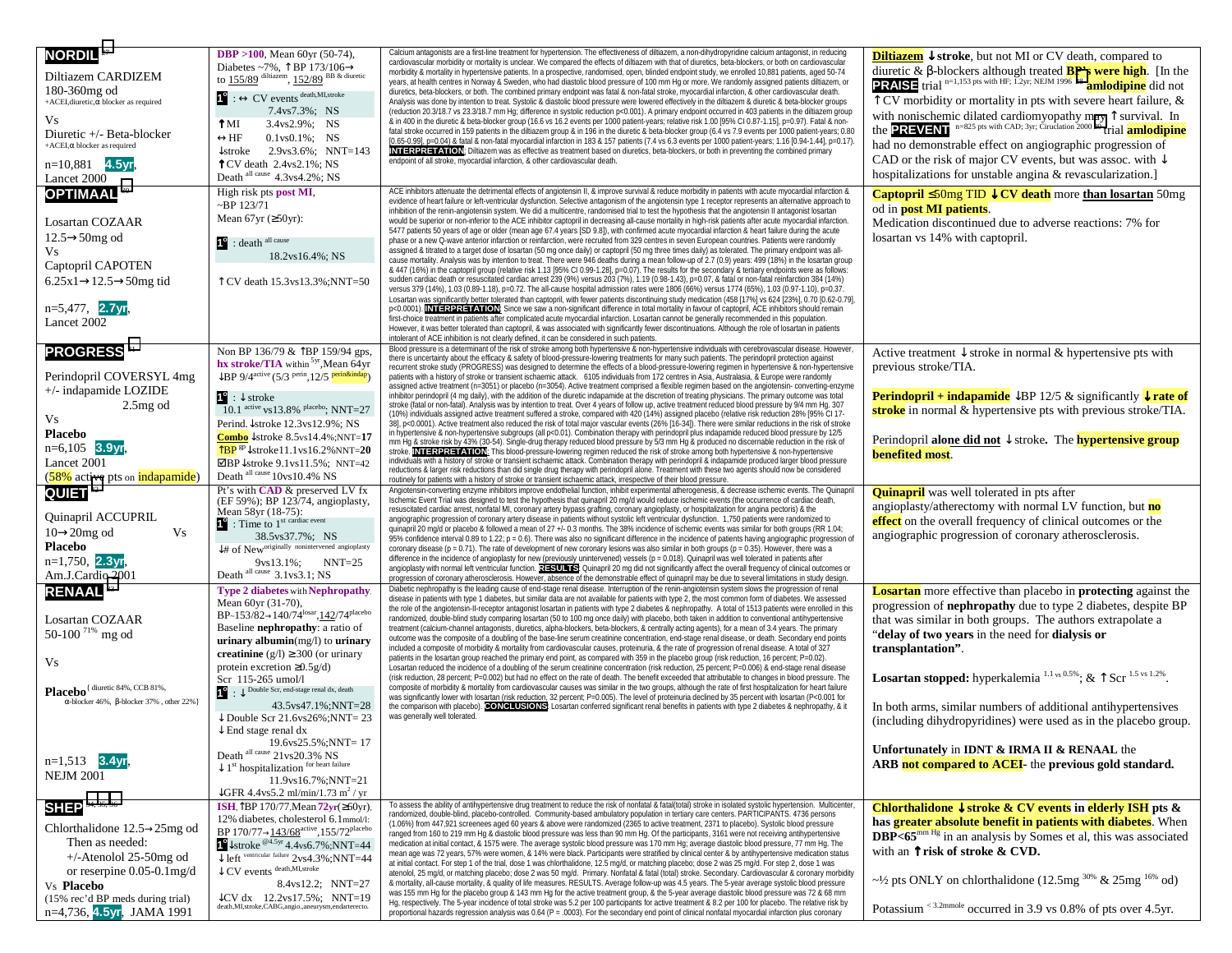| <b>NORDIL<sup>27</sup></b><br>Diltiazem CARDIZEM<br>180-360mg od<br>+ACEI, diuretic, $\alpha$ blocker as required<br>Vs<br>Diuretic +/- Beta-blocker<br>$+$ ACEI, $\alpha$ blocker as required<br>$n=10,881$ 4.5yr,<br>Lancet 2000 | <b>DBP</b> > 100, Mean 60yr (50-74),<br>Diabetes ~7%, $\uparrow$ BP 173/106 $\rightarrow$ to 155/89 dilitiazem, 152/89 BB & diuretic<br>$1^\circ$ : $\leftrightarrow$ CV events death, MI, stroke<br>7.4ys7.3%; NS<br>ŤМ<br>3.4ys2.9%; NS<br>$\leftrightarrow$ HF<br>$0.1$ vs $0.1\%$ ; NS<br>$\downarrow$ stroke 2.9vs3.6%; NNT=143<br>$TCV$ death $2.4vs2.1\%$ ; NS<br>Death all cause 4.3 vs4.2%; NS                                                                                                                                                    | Calcium antagonists are a first-line treatment for hypertension. The effectiveness of diltiazem, a non-dihydropyridine calcium antagonist, in reducing<br>cardiovascular morbidity or mortality is unclear. We compared the effects of diltiazem with that of diuretics, beta-blockers, or both on cardiovascular<br>morbidity & mortality in hypertensive patients. In a prospective, randomised, open, blinded endpoint study, we enrolled 10,881 patients, aged 50-74<br>years, at health centres in Norway & Sweden, who had diastolic blood pressure of 100 mm Hg or more. We randomly assigned patients diltiazem, or<br>diuretics, beta-blockers, or both. The combined primary endpoint was fatal & non-fatal stroke, myocardial infarction, & other cardiovascular death.<br>Analysis was done by intention to treat. Systolic & diastolic blood pressure were lowered effectively in the diltiazem & diuretic & beta-blocker groups<br>(reduction 20.3/18.7 vs 23.3/18.7 mm Hg; difference in systolic reduction p<0.001). A primary endpoint occurred in 403 patients in the diltiazem group<br>& in 400 in the diuretic & beta-blocker group (16.6 vs 16.2 events per 1000 patient-years; relative risk 1.00 [95% CI 0.87-1.15], p=0.97). Fatal & non-<br>fatal stroke occurred in 159 patients in the diltiazem group & in 196 in the diuretic & beta-blocker group (6.4 vs 7.9 events per 1000 patient-years; 0.80<br>[0.65-0.99], p=0.04) & fatal & non-fatal myocardial infarction in 183 & 157 patients (7.4 vs 6.3 events per 1000 patient-years; 1.16 [0.94-1.44], p=0.17).<br><b>INTERPRETATION:</b> Diltiazem was as effective as treatment based on diuretics, beta-blockers, or both in preventing the combined primary<br>endpoint of all stroke, myocardial infarction, & other cardiovascular death<br>ACE inhibitors attenuate the detrimental effects of angiotensin II, & improve survival & reduce morbidity in patients with acute myocardial infarction &                                                                                                                                                                                                                                                                                                                 | <b>Diltiazem</b> $\downarrow$ stroke, but not MI or CV death, compared to<br>diuretic & $\beta$ -blockers although treated <b>BP's were high</b> . [In the <b>PRAISE</b> trial <sup>n=1,153</sup> pts with HF; 1.2yr; NEJM 1996 28 <b>amilodipine</b> did not<br>$\uparrow$ CV morbidity or mortality in pts with severe heart failure, &<br>with nonischemic dilated cardiomyopathy may $\hat{\Gamma}$ survival. In the <b>PREVENT</b> $n=825$ pts with CAD; 3yr; Circlation 2000 29 trial <b>amiodipine</b><br>had no demonstrable effect on angiographic progression of<br>CAD or the risk of major CV events, but was assoc. with $\downarrow$<br>hospitalizations for unstable angina & revascularization.] |
|------------------------------------------------------------------------------------------------------------------------------------------------------------------------------------------------------------------------------------|------------------------------------------------------------------------------------------------------------------------------------------------------------------------------------------------------------------------------------------------------------------------------------------------------------------------------------------------------------------------------------------------------------------------------------------------------------------------------------------------------------------------------------------------------------|-----------------------------------------------------------------------------------------------------------------------------------------------------------------------------------------------------------------------------------------------------------------------------------------------------------------------------------------------------------------------------------------------------------------------------------------------------------------------------------------------------------------------------------------------------------------------------------------------------------------------------------------------------------------------------------------------------------------------------------------------------------------------------------------------------------------------------------------------------------------------------------------------------------------------------------------------------------------------------------------------------------------------------------------------------------------------------------------------------------------------------------------------------------------------------------------------------------------------------------------------------------------------------------------------------------------------------------------------------------------------------------------------------------------------------------------------------------------------------------------------------------------------------------------------------------------------------------------------------------------------------------------------------------------------------------------------------------------------------------------------------------------------------------------------------------------------------------------------------------------------------------------------------------------------------------------------------------------------------------------------------------------------------------------------------------------------------------------------------------------------------------------------------------------------------------------------------------------------------------------------------------------------------------------------------------|------------------------------------------------------------------------------------------------------------------------------------------------------------------------------------------------------------------------------------------------------------------------------------------------------------------------------------------------------------------------------------------------------------------------------------------------------------------------------------------------------------------------------------------------------------------------------------------------------------------------------------------------------------------------------------------------------------------|
| <b>OPTIMAAL 30</b><br>Losartan COZAAR<br>$12.5 \rightarrow 50$ mg od<br>Vs<br>Captopril CAPOTEN<br>$6.25x1 \rightarrow 12.5 \rightarrow 50mg$ tid<br>$n=5,477$ , 2.7 yr<br>Lancet 2002                                             | High risk pts post MI,<br>$\sim$ BP 123/71<br>Mean $67yr$ ( $\geq 50yr$ ):<br>$1^{\circ}$ : death <sup>all cause</sup><br>18.2ys16.4%; NS<br>T CV death 15.3 vs 13.3%; NNT=50                                                                                                                                                                                                                                                                                                                                                                              | evidence of heart failure or left-ventricular dysfunction. Selective antagonism of the angiotensin type 1 receptor represents an alternative approach to<br>inhibition of the renin-angiotensin system. We did a multicentre, randomised trial to test the hypothesis that the angiotensin II antagonist losartan<br>would be superior or non-inferior to the ACE inhibitor captopril in decreasing all-cause mortality in high-risk patients after acute myocardial infarction.<br>5477 patients 50 years of age or older (mean age 67.4 years [SD 9.8]), with confirmed acute myocardial infarction & heart failure during the acute<br>phase or a new Q-wave anterior infarction or reinfarction, were recruited from 329 centres in seven European countries. Patients were randomly<br>assigned & titrated to a target dose of losartan (50 mg once daily) or captopril (50 mg three times daily) as tolerated. The primary endpoint was all-<br>cause mortality. Analysis was by intention to treat. There were 946 deaths during a mean follow-up of 2.7 (0.9) years: 499 (18%) in the losartan group<br>& 447 (16%) in the captopril group (relative risk 1.13 [95% CI 0.99-1.28], p=0.07). The results for the secondary & tertiary endpoints were as follows:<br>sudden cardiac death or resuscitated cardiac arrest 239 (9%) versus 203 (7%), 1.19 (0.98-1.43), p=0.07, & fatal or non-fatal reinfarction 384 (14%)<br>versus 379 (14%), 1.03 (0.89-1.18), p=0.72. The all-cause hospital admission rates were 1806 (66%) versus 1774 (65%), 1.03 (0.97-1.10), p=0.37.<br>Losartan was significantly better tolerated than captopril, with fewer patients discontinuing study medication (458 [17%] vs 624 [23%], 0.70 [0.62-0.79],<br>p<0.0001). INTERPRETATION: Since we saw a non-significant difference in total mortality in favour of captopril, ACE inhibitors should remain<br>first-choice treatment in patients after complicated acute myocardial infarction. Losartan cannot be generally recommended in this population.<br>However, it was better tolerated than captopril, & was associated with significantly fewer discontinuations. Although the role of losartan in patients<br>intolerant of ACE inhibition is not clearly defined, it can be considered in such patients. | <b>Captopril</b> $\leq$ 50mg TID $\downarrow$ CV death more than losartan 50mg<br>od in <b>post MI patients</b> .<br>Medication discontinued due to adverse reactions: 7% for<br>losartan vs 14% with captopril.                                                                                                                                                                                                                                                                                                                                                                                                                                                                                                 |
| <b>PROGRESS</b> 31<br>Perindopril COVERSYL 4mg<br>+/- indapamide LOZIDE<br>$2.5mg$ od<br>Vs<br><b>Placebo</b><br>$n=6,105$ 3.9yr,<br>Lancet 2001<br>(58% active pts on indapamide)                                                 | Non BP 136/79 & TBP 159/94 gps,<br>hx stroke/TIA within <sup>5yr</sup> , Mean 64yr<br>$\downarrow$ BP 9/4 <sup>active</sup> (5/3 <sup>perin</sup> 12/5 <b>perin&amp;indap</b> )<br>$1^{\circ}$ : $\downarrow$ stroke<br>$10.1$ active vs 13.8% placebo: NNT=27<br>Perind. $\sqrt{\frac{1}{2}$ stroke 12.3 vs 12.9%; NS<br>Combo $\downarrow$ stroke 8.5vs14.4%;NNT=17<br>$\overline{ABP}$ <sup>gp</sup> $\downarrow$ stroke11.1vs16.2%NNT= <b>20</b><br>$\boxtimes$ BP↓stroke 9.1vs11.5%; NNT=42<br>Death all cause 10vs10.4% NS                           | Blood pressure is a determinant of the risk of stroke among both hypertensive & non-hypertensive individuals with cerebrovascular disease. Howev<br>there is uncertainty about the efficacy & safety of blood-pressure-lowering treatments for many such patients. The perindopril protection against<br>recurrent stroke study (PROGRESS) was designed to determine the effects of a blood-pressure-lowering regimen in hypertensive & non-hypertensive<br>patients with a history of stroke or transient ischaemic attack. 6105 individuals from 172 centres in Asia, Australasia, & Europe were randomly<br>assigned active treatment (n=3051) or placebo (n=3054). Active treatment comprised a flexible regimen based on the angiotensin- converting-enzyme<br>inhibitor perindopril (4 mg daily), with the addition of the diuretic indapamide at the discretion of treating physicians. The primary outcome was total<br>stroke (fatal or non-fatal). Analysis was by intention to treat. Over 4 years of follow up, active treatment reduced blood pressure by 9/4 mm Hg. 307<br>(10%) individuals assigned active treatment suffered a stroke, compared with 420 (14%) assigned placebo (relative risk reduction 28% [95% CI 17-<br>38], p<0.0001). Active treatment also reduced the risk of total major vascular events (26% [16-34]). There were similar reductions in the risk of stroke<br>in hypertensive & non-hypertensive subgroups (all p<0.01). Combination therapy with perindopril plus indapamide reduced blood pressure by 12/5<br>mm Hg & stroke risk by 43% (30-54). Single-drug therapy reduced blood pressure by 5/3 mm Hg & produced no discernable reduction in the risk of<br>stroke. INTERPRETATION: This blood-pressure-lowering regimen reduced the risk of stroke among both hypertensive & non-hypertensive<br>individuals with a history of stroke or transient ischaemic attack. Combination therapy with perindopril & indapamide produced larger blood pressure<br>reductions & larger risk reductions than did single drug therapy with perindopril alone. Treatment with these two agents should now be considered<br>routinely for patients with a history of stroke or transient ischaemic attack, irrespective of their blood pressure.                      | Active treatment $\downarrow$ stroke in normal & hypertensive pts with<br>previous stroke/TIA.<br><b>Perindopril + indapamide</b> $\downarrow$ BP 12/5 & significantly $\downarrow$ <b>rate of</b><br>stroke in normal & hypertensive pts with previous stroke/TIA.<br>Perindopril alone did not $\downarrow$ stroke. The <b>hypertensive group</b><br>benefited most.                                                                                                                                                                                                                                                                                                                                           |
| QUIET <sup>32</sup><br>Quinapril ACCUPRIL<br>$10\rightarrow 20$ mg od<br>Vs<br><b>Placebo</b><br>$n=1,750$ , 2.3yr,<br>Am.J.Cardio 2001                                                                                            | Pt's with <b>CAD</b> & preserved LV fx<br>(EF 59%); BP 123/74, angioplasty,<br>Mean 58yr (18-75):<br>$\mathbf{I}^{\mathbf{c}}$ : Time to $1^{\text{st} \text{ cardiac event}}$<br>38.5vs37.7%; NS<br>If of New originally nonintervened angioplasty<br>9ys13.1%; NNT=25<br>Death all cause 3.1 vs3.1; NS                                                                                                                                                                                                                                                   | Angiotensin-converting enzyme inhibitors improve endothelial function, inhibit experimental atherogenesis, & decrease ischemic events. The Quinapril<br>Ischemic Event Trial was designed to test the hypothesis that quinapril 20 mg/d would reduce ischemic events (the occurrence of cardiac death,<br>resuscitated cardiac arrest, nonfatal MI, coronary artery bypass grafting, coronary angioplasty, or hospitalization for angina pectoris) & the<br>angiographic progression of coronary artery disease in patients without systolic left ventricular dysfunction. 1,750 patients were randomized to<br>quinapril 20 mg/d or placebo & followed a mean of 27 +/- 0.3 months. The 38% incidence of ischemic events was similar for both groups (RR 1.04;<br>95% confidence interval 0.89 to 1.22; p = 0.6). There was also no significant difference in the incidence of patients having angiographic progression of<br>coronary disease ( $p = 0.71$ ). The rate of development of new coronary lesions was also similar in both groups ( $p = 0.35$ ). However, there was a<br>difference in the incidence of angioplasty for new (previously unintervened) vessels (p = 0.018). Quinapril was well tolerated in patients after<br>angioplasty with normal left ventricular function. RESULTS: Quinapril 20 mg did not significantly affect the overall frequency of clinical outcomes or<br>progression of coronary atherosclerosis. However, absence of the demonstrable effect of quinapril may be due to several limitations in study design                                                                                                                                                                                                                                                                                                                                                                                                                                                                                                                                                                                                                                                                                                                                                 | <b>Quinapril</b> was well tolerated in pts after<br>angioplasty/atherectomy with normal LV function, but no<br>effect on the overall frequency of clinical outcomes or the<br>angiographic progression of coronary atherosclerosis.                                                                                                                                                                                                                                                                                                                                                                                                                                                                              |
| <b>RENAAL<sup>88</sup></b><br>Losartan COZAAR<br>50-100 <sup>71%</sup> mg od<br>Vs<br>Placebo <sup>{ diuretic 84%, CCB 81%,</sup><br>α-blocker 46%, β-blocker 37%, other 22%}                                                      | <b>Type 2 diabetes with Nephropathy</b><br>Mean 60yr (31-70),<br>BP~153/82->140/74 <sup>losar</sup> ,142/74 <sup>placebo</sup><br>Baseline <b>nephropathy</b> : a ratio of<br>urinary albumin $(mg/l)$ to urinary<br>creatinine $(g/l) \ge 300$ (or urinary<br>protein excretion $\geq 0.5g/d$ )<br>Scr 115-265 umol/l<br>$\bullet$ : $\downarrow$ Double Scr, end-stage renal dx, death<br>43.5ys47.1%;NNT=28<br>$\downarrow$ Double Scr 21.6 vs 26% : NNT = 23<br>$\downarrow$ End stage renal dx<br>19.6vs25.5%;NNT= 17<br>Death all cause 21vs20.3% NS | Diabetic nephropathy is the leading cause of end-stage renal disease. Interruption of the renin-angiotensin system slows the progression of renal<br>disease in patients with type 1 diabetes, but similar data are not available for patients with type 2, the most common form of diabetes. We assessed<br>the role of the angiotensin-II-receptor antagonist losartan in patients with type 2 diabetes & nephropathy. A total of 1513 patients were enrolled in this<br>randomized, double-blind study comparing losartan (50 to 100 mg once daily) with placebo, both taken in addition to conventional antihypertensive<br>treatment (calcium-channel antagonists, diuretics, alpha-blockers, beta-blockers, & centrally acting agents), for a mean of 3.4 years. The primary<br>outcome was the composite of a doubling of the base-line serum creatinine concentration, end-stage renal disease, or death. Secondary end points<br>included a composite of morbidity & mortality from cardiovascular causes, proteinuria, & the rate of progression of renal disease. A total of 327<br>patients in the losartan group reached the primary end point, as compared with 359 in the placebo group (risk reduction, 16 percent; P=0.02).<br>Losartan reduced the incidence of a doubling of the serum creatinine concentration (risk reduction, 25 percent; P=0.006) & end-stage renal disease<br>(risk reduction, 28 percent; P=0.002) but had no effect on the rate of death. The benefit exceeded that attributable to changes in blood pressure. The<br>composite of morbidity & mortality from cardiovascular causes was similar in the two groups, although the rate of first hospitalization for heart failure<br>was significantly lower with losartan (risk reduction, 32 percent; P=0.005). The level of proteinuria declined by 35 percent with losartan (P<0.001 for<br>the comparison with placebo). CONCLUSIONS: Losartan conferred significant renal benefits in patients with type 2 diabetes & nephropathy, & it<br>was generally well tolerated.                                                                                                                                                                                                                                    | <b>Losartan</b> more effective than placebo in <b>protecting</b> against the<br>progression of <b>nephropathy</b> due to type 2 diabetes, despite BP<br>that was similar in both groups. The authors extrapolate a<br>"delay of two years in the need for dialysis or<br>transplantation".<br>Losartan stopped: hyperkalemia 1.1 vs 0.5%; & $\uparrow$ Scr 1.5 vs 1.2%.<br>In both arms, similar numbers of additional antihypertensives<br>(including dihydropyridines) were used as in the placebo group.<br>Unfortunately in IDNT & IRMA II & RENAAL the                                                                                                                                                      |
| $n=1,513$ 3.4yr,<br><b>NEJM 2001</b><br>34, 35, 36<br><b>SHEP</b>                                                                                                                                                                  | $\downarrow 1^\mathrm{st}$ hospitalization for heart failure<br>11.9ys16.7%;NNT=21<br>$\downarrow$ GFR 4.4vs5.2 ml/min/1.73 m <sup>2</sup> /yr<br><b>ISH</b> , TBP 170/77, Mean $72yr(\geq 60yr)$ ,                                                                                                                                                                                                                                                                                                                                                        | To assess the ability of antihypertensive drug treatment to reduce the risk of nonfatal & fatal(total) stroke in isolated systolic hypertension. Multicenter                                                                                                                                                                                                                                                                                                                                                                                                                                                                                                                                                                                                                                                                                                                                                                                                                                                                                                                                                                                                                                                                                                                                                                                                                                                                                                                                                                                                                                                                                                                                                                                                                                                                                                                                                                                                                                                                                                                                                                                                                                                                                                                                              | ARB not compared to ACEI- the previous gold standard.<br>Chlorthalidone $\downarrow$ stroke & CV events in elderly ISH pts &                                                                                                                                                                                                                                                                                                                                                                                                                                                                                                                                                                                     |
| Chlorthalidone $12.5 \rightarrow 25$ mg od<br>Then as needed:<br>$+/-$ Atenolol 25-50mg od<br>or reserpine 0.05-0.1mg/d<br>Vs Placebo<br>(15% rec'd BP meds during trial)<br>n=4,736, 4.5yr, JAMA 1991                             | 12% diabetes, cholesterol 6.1mmol/l:<br>BP $170/77 \rightarrow 143/68$ <sup>active</sup> , $155/72$ <sup>placebo</sup><br>$\sim$ stroke $\frac{64.5y}{4.4y}$ 4.4vs6.7%;NNT=44<br>$\overline{\downarrow}$ left ventricular failure 2vs4.3%;NNT=44<br>$\downarrow$ CV events $^{\text{death},\text{MI},\text{stroke}}$<br>8.4vs12.2; NNT=27<br>$\downarrow$ CV dx 12.2vs17.5%: NNT=19<br>death, MI, stroke, CABG, angio., aneurysm, endarterecto.                                                                                                            | randomized, double-blind, placebo-controlled. Community-based ambulatory population in tertiary care centers. PARTICIPANTS. 4736 persons<br>(1.06%) from 447,921 screenees aged 60 years & above were randomized (2365 to active treatment, 2371 to placebo). Systolic blood pressure<br>ranged from 160 to 219 mm Hg & diastolic blood pressure was less than 90 mm Hg. Of the participants, 3161 were not receiving antihypertensive<br>medication at initial contact, & 1575 were. The average systolic blood pressure was 170 mm Hg; average diastolic blood pressure, 77 mm Hg. The<br>mean age was 72 years, 57% were women, & 14% were black. Participants were stratified by clinical center & by antihypertensive medication status<br>at initial contact. For step 1 of the trial, dose 1 was chlorthalidone, 12.5 mg/d, or matching placebo; dose 2 was 25 mg/d. For step 2, dose 1 was<br>atenolol, 25 mg/d, or matching placebo; dose 2 was 50 mg/d. Primary. Nonfatal & fatal (total) stroke. Secondary. Cardiovascular & coronary morbidity<br>& mortality, all-cause mortality, & quality of life measures. RESULTS. Average follow-up was 4.5 years. The 5-year average systolic blood pressure<br>was 155 mm Hg for the placebo group & 143 mm Hg for the active treatment group, & the 5-year average diastolic blood pressure was 72 & 68 mm<br>Hg, respectively. The 5-year incidence of total stroke was 5.2 per 100 participants for active treatment & 8.2 per 100 for placebo. The relative risk by<br>proportional hazards regression analysis was 0.64 ( $P = .0003$ ). For the secondary end point of clinical nonfatal myocardial infarction plus coronary                                                                                                                                                                                                                                                                                                                                                                                                                                                                                                                                                                                                                   | has greater absolute benefit in patients with diabetes. When<br>$DBP < 65^{mm \, Hg}$ in an analysis by Somes et al, this was associated<br>with an $\uparrow$ risk of stroke & CVD.<br>~1/2 pts ONLY on chlorthalidone (12.5mg $30\%$ & 25mg $16\%$ od)<br>Potassium < 3.2mmole occurred in 3.9 vs 0.8% of pts over 4.5yr.                                                                                                                                                                                                                                                                                                                                                                                      |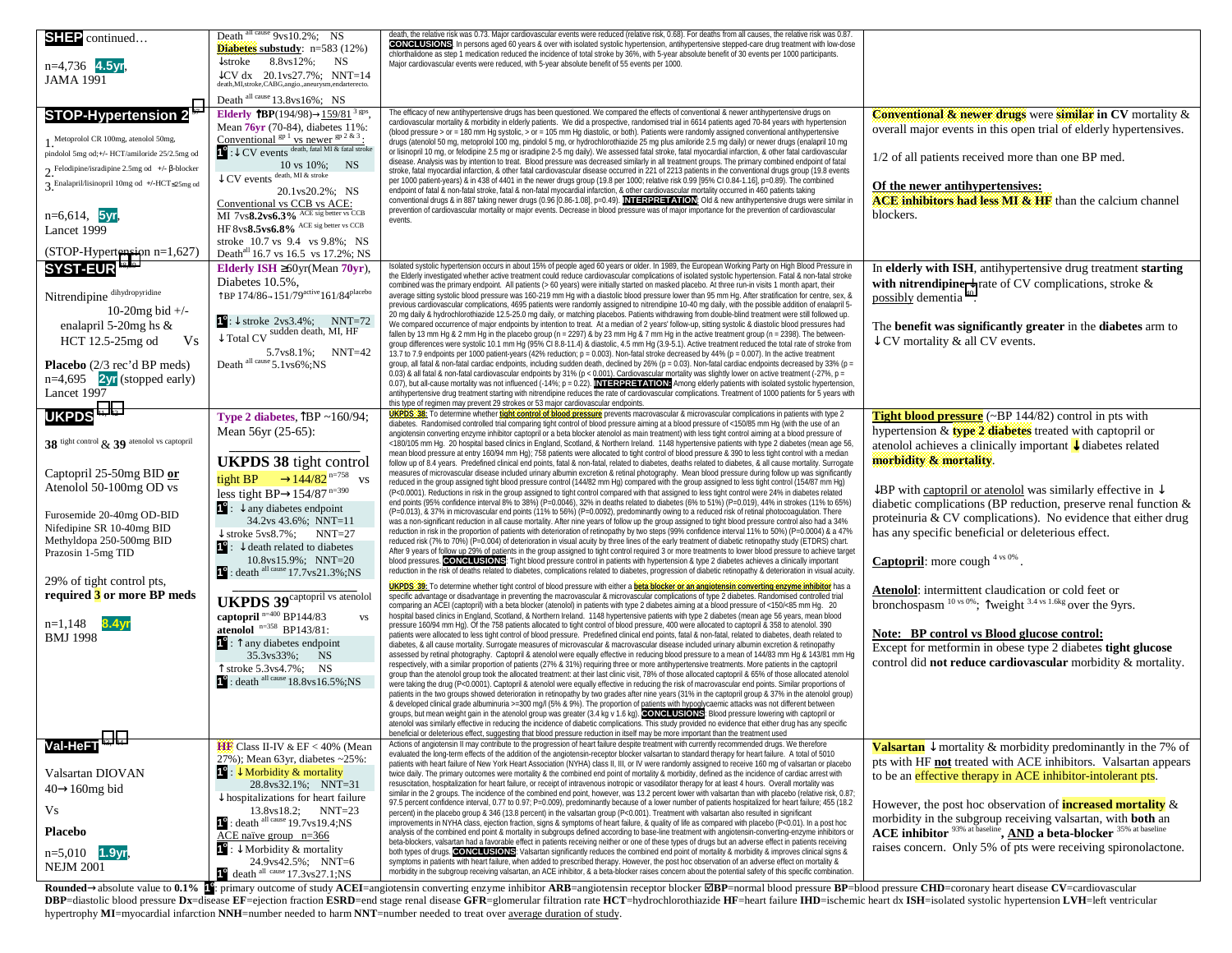| SHEP continued<br>n=4,736 4.5yr,<br><b>JAMA 1991</b><br><b>STOP-Hypertension 2<sup>37</sup></b><br>Metoprolol CR 100mg, atenolol 50mg,<br>pindolol 5mg od; +/- HCT/amiloride 25/2.5mg od<br>$2.$ Felodipine/isradipine 2.5mg od +/- $\beta$ -blocker<br>3. Enalapril/lisinopril 10mg od +/-HCT <25mg od<br>$n=6,614$ , 5yr,<br>Lancet 1999 | Death all cause 9ys10.2%; NS<br><b>Diabetes</b> substudy: $n=583(12%)$<br>$\downarrow$ stroke<br>8.8ys12%; NS<br>$\downarrow$ CV dx 20.1vs27.7%; NNT=14<br>death, MI, stroke, CABG, angio., aneurysm, endarterecto.<br>Death all cause 13.8vs16%; NS<br><b>Elderly TBP</b> (194/98) $\rightarrow$ 159/81 <sup>3</sup> gps,<br>Mean 76yr (70-84), diabetes 11%:<br>Conventional ${}^{gp}$ <sup>1</sup> vs newer ${}^{gp}$ <sup>2 &amp; 3</sup> :<br>$\bullet$ : $\downarrow$ CV events death, fatal MI & fatal stroke<br>$\begin{tabular}{c} & 10 vs 10\% \\ \downarrow CV events \end{tabular} \begin{tabular}{c} \vspace{0.08in} \begin{tabular}{c} NSS \\ A \end{tabular} \end{tabular}$<br>20.1vs20.2%; NS<br>Conventional vs CCB vs ACE:<br>MI 7vs8.2vs6.3% ACE sig better vs CCB<br>HF $8\text{vs}8.5\text{vs}6.8\%$ ACE sig better vs CCB | death, the relative risk was 0.73. Major cardiovascular events were reduced (relative risk, 0.68). For deaths from all causes, the relative risk was 0.87<br>CONCLUSIONS. In persons aged 60 years & over with isolated systolic hypertension, antihypertensive stepped-care drug treatment with low-dose<br>chlorthalidone as step 1 medication reduced the incidence of total stroke by 36%, with 5-year absolute benefit of 30 events per 1000 participants.<br>Major cardiovascular events were reduced, with 5-year absolute benefit of 55 events per 1000.<br>The efficacy of new antihypertensive drugs has been questioned. We compared the effects of conventional & newer antihypertensive drugs on<br>cardiovascular mortality & morbidity in elderly patients. We did a prospective, randomised trial in 6614 patients aged 70-84 years with hypertension<br>(blood pressure > or = 180 mm Hg systolic, > or = 105 mm Hg diastolic, or both). Patients were randomly assigned conventional antihypertensive<br>drugs (atenolol 50 mg, metoprolol 100 mg, pindolol 5 mg, or hydrochlorothiazide 25 mg plus amiloride 2.5 mg daily) or newer drugs (enalapril 10 mg<br>or lisinopril 10 mg, or felodipine 2.5 mg or isradipine 2-5 mg daily). We assessed fatal stroke, fatal myocardial infarction, & other fatal cardiovascular<br>disease. Analysis was by intention to treat. Blood pressure was decreased similarly in all treatment groups. The primary combined endpoint of fatal<br>stroke, fatal myocardial infarction, & other fatal cardiovascular disease occurred in 221 of 2213 patients in the conventional drugs group (19.8 events<br>per 1000 patient-years) & in 438 of 4401 in the newer drugs group (19.8 per 1000; relative risk 0.99 [95% CI 0.84-1.16], p=0.89). The combined<br>endpoint of fatal & non-fatal stroke, fatal & non-fatal myocardial infarction, & other cardiovascular mortality occurred in 460 patients taking<br>conventional drugs & in 887 taking newer drugs (0.96 [0.86-1.08], p=0.49). INTERPRETATION: Old & new antihypertensive drugs were similar in<br>prevention of cardiovascular mortality or major events. Decrease in blood pressure was of major importance for the prevention of cardiovascular<br>events. | <b>Conventional &amp; newer drugs</b> were <b>similar</b> in $CV$ mortality $\&$<br>overall major events in this open trial of elderly hypertensives.<br>1/2 of all patients received more than one BP med.<br>Of the newer antihypertensives:<br>ACE inhibitors had less MI & HF than the calcium channel<br>blockers.                                                                                                                                                                      |
|--------------------------------------------------------------------------------------------------------------------------------------------------------------------------------------------------------------------------------------------------------------------------------------------------------------------------------------------|-------------------------------------------------------------------------------------------------------------------------------------------------------------------------------------------------------------------------------------------------------------------------------------------------------------------------------------------------------------------------------------------------------------------------------------------------------------------------------------------------------------------------------------------------------------------------------------------------------------------------------------------------------------------------------------------------------------------------------------------------------------------------------------------------------------------------------------------------|---------------------------------------------------------------------------------------------------------------------------------------------------------------------------------------------------------------------------------------------------------------------------------------------------------------------------------------------------------------------------------------------------------------------------------------------------------------------------------------------------------------------------------------------------------------------------------------------------------------------------------------------------------------------------------------------------------------------------------------------------------------------------------------------------------------------------------------------------------------------------------------------------------------------------------------------------------------------------------------------------------------------------------------------------------------------------------------------------------------------------------------------------------------------------------------------------------------------------------------------------------------------------------------------------------------------------------------------------------------------------------------------------------------------------------------------------------------------------------------------------------------------------------------------------------------------------------------------------------------------------------------------------------------------------------------------------------------------------------------------------------------------------------------------------------------------------------------------------------------------------------------------------------------------------------------------------------------------------------------------------------------------------------------------------------------------------------------------------------------------------------------------------------------------------------------------------------------------------------------------------------------------------------|----------------------------------------------------------------------------------------------------------------------------------------------------------------------------------------------------------------------------------------------------------------------------------------------------------------------------------------------------------------------------------------------------------------------------------------------------------------------------------------------|
| (STOP-Hypertension n=1,627)<br>SYST-EUR <sup>38,39</sup>                                                                                                                                                                                                                                                                                   | stroke 10.7 vs 9.4 vs 9.8%; NS<br>Death <sup>all</sup> 16.7 vs 16.5 vs 17.2%; NS<br>Elderly ISH $\geq 60$ yr(Mean 70yr),                                                                                                                                                                                                                                                                                                                                                                                                                                                                                                                                                                                                                                                                                                                        | Isolated systolic hypertension occurs in about 15% of people aged 60 years or older. In 1989, the European Working Party on High Blood Pressure in                                                                                                                                                                                                                                                                                                                                                                                                                                                                                                                                                                                                                                                                                                                                                                                                                                                                                                                                                                                                                                                                                                                                                                                                                                                                                                                                                                                                                                                                                                                                                                                                                                                                                                                                                                                                                                                                                                                                                                                                                                                                                                                              | In elderly with ISH, antihypertensive drug treatment starting                                                                                                                                                                                                                                                                                                                                                                                                                                |
| $\label{eq:interdipine} \textbf{Nittendipine} \ ^{\text{dihydropyridine}}$<br>10-20 $mg$ bid +/-<br>enalapril 5-20mg hs $\&$<br>HCT 12.5-25mg od<br>Vs<br>Placebo (2/3 rec'd BP meds)<br>$n=4,695$ 2yr (stopped early)<br>Lancet 1997                                                                                                      | Diabetes 10.5%,<br>$\uparrow$ BP 174/86-151/79 <sup>active</sup> 161/84 <sup>placebo</sup><br>$\mathbf{T}: \downarrow$ stroke 2vs3.4%; NNT=72<br>$\downarrow$ Total CV sudden death, MI, HF<br>5.7vs8.1%; NNT=42<br>Death all cause 5.1 vs6%; NS                                                                                                                                                                                                                                                                                                                                                                                                                                                                                                                                                                                                | the Elderly investigated whether active treatment could reduce cardiovascular complications of isolated systolic hypertension. Fatal & non-fatal stroke<br>combined was the primary endpoint. All patients (> 60 years) were initially started on masked placebo. At three run-in visits 1 month apart, their<br>average sitting systolic blood pressure was 160-219 mm Hg with a diastolic blood pressure lower than 95 mm Hg. After stratification for centre, sex, &<br>previous cardiovascular complications, 4695 patients were randomly assigned to nitrendipine 10-40 mg daily, with the possible addition of enalapril 5-<br>.<br>20 mg daily & hydrochlorothiazide 12.5-25.0 mg daily, or matching placebos. Patients withdrawing from double-blind treatment were still followed up.<br>We compared occurrence of major endpoints by intention to treat. At a median of 2 years' follow-up, sitting systolic & diastolic blood pressures had<br>fallen by 13 mm Hg & 2 mm Hg in the placebo group (n = 2297) & by 23 mm Hg & 7 mm Hg in the active treatment group (n = 2398). The between-<br>group differences were systolic 10.1 mm Hg (95% CI 8.8-11.4) & diastolic, 4.5 mm Hg (3.9-5.1). Active treatment reduced the total rate of stroke from<br>13.7 to 7.9 endpoints per 1000 patient-years (42% reduction; p = 0.003). Non-fatal stroke decreased by 44% (p = 0.007). In the active treatment<br>group, all fatal & non-fatal cardiac endpoints, including sudden death, declined by 26% (p = 0.03). Non-fatal cardiac endpoints decreased by 33% (p =<br>0.03) & all fatal & non-fatal cardiovascular endpoints by 31% (p < 0.001). Cardiovascular mortality was slightly lower on active treatment (-27%, p =<br>0.07), but all-cause mortality was not influenced (-14%; p = 0.22). NTERPRETATION: Among elderly patients with isolated systolic hypertension,<br>antihypertensive drug treatment starting with nitrendipine reduces the rate of cardiovascular complications. Treatment of 1000 patients for 5 years with<br>this type of regimen may prevent 29 strokes or 53 major cardiovascular endpoints.                                                                                                                                          | with nitrendipine $\downarrow$ rate of CV complications, stroke &<br>possibly dementia 40.<br>The benefit was significantly greater in the diabetes arm to<br>$\downarrow$ CV mortality & all CV events.                                                                                                                                                                                                                                                                                     |
| <b>UKPDS</b> <sup>41, 42</sup>                                                                                                                                                                                                                                                                                                             | Type 2 diabetes, $\hat{\triangle}BP \sim 160/94$ ;                                                                                                                                                                                                                                                                                                                                                                                                                                                                                                                                                                                                                                                                                                                                                                                              | <mark>UKPDS:38:</mark> To determine whether <mark>tight control of blood pressure</mark> prevents macrovascular & microvascular complications in patients with type 2<br>diabetes. Randomised controlled trial comparing tight control of blood pressure aiming at a blood pressure of <150/85 mm Hg (with the use of an                                                                                                                                                                                                                                                                                                                                                                                                                                                                                                                                                                                                                                                                                                                                                                                                                                                                                                                                                                                                                                                                                                                                                                                                                                                                                                                                                                                                                                                                                                                                                                                                                                                                                                                                                                                                                                                                                                                                                        | <b>Tight blood pressure</b> ( $\sim$ BP 144/82) control in pts with<br>hypertension $&$ type 2 diabetes treated with captopril or                                                                                                                                                                                                                                                                                                                                                            |
| 38 tight control & 39 atenolol vs captopril                                                                                                                                                                                                                                                                                                | Mean 56yr (25-65):                                                                                                                                                                                                                                                                                                                                                                                                                                                                                                                                                                                                                                                                                                                                                                                                                              | angiotensin converting enzyme inhibitor captopril or a beta blocker atenolol as main treatment) with less tight control aiming at a blood pressure of<br><180/105 mm Hg. 20 hospital based clinics in England, Scotland, & Northern Ireland. 1148 hypertensive patients with type 2 diabetes (mean age 56,                                                                                                                                                                                                                                                                                                                                                                                                                                                                                                                                                                                                                                                                                                                                                                                                                                                                                                                                                                                                                                                                                                                                                                                                                                                                                                                                                                                                                                                                                                                                                                                                                                                                                                                                                                                                                                                                                                                                                                      | atenolol achieves a clinically important $\downarrow$ diabetes related                                                                                                                                                                                                                                                                                                                                                                                                                       |
| Captopril 25-50mg BID or<br>Atenolol 50-100mg OD vs<br>Furosemide 20-40mg OD-BID<br>Nifedipine SR 10-40mg BID<br>Methyldopa 250-500mg BID<br>Prazosin 1-5mg TID                                                                                                                                                                            | <b>UKPDS 38</b> tight control<br>tight BP $\rightarrow$ 144/82 <sup>n=758</sup> vs<br>less tight BP $\rightarrow$ 154/87 <sup>n=390</sup><br>$1^{\circ}$ : $\downarrow$ any diabetes endpoint<br>34.2vs 43.6%; NNT=11<br>$\downarrow$ stroke 5vs8.7%; NNT=27<br>$\mathbf{1}^{\circ}$ : $\downarrow$ death related to diabetes<br>10.8vs15.9%; NNT=20<br>$1^\circ$ : death all cause 17.7 vs21.3%; NS                                                                                                                                                                                                                                                                                                                                                                                                                                            | mean blood pressure at entry 160/94 mm Hq); 758 patients were allocated to tight control of blood pressure & 390 to less tight control with a median<br>follow up of 8.4 years. Predefined clinical end points, fatal & non-fatal, related to diabetes, deaths related to diabetes, & all cause mortality. Surrogate<br>measures of microvascular disease included urinary albumin excretion & retinal photography. Mean blood pressure during follow up was significantly<br>reduced in the group assigned tight blood pressure control (144/82 mm Hg) compared with the group assigned to less tight control (154/87 mm Hg)<br>(P<0.0001). Reductions in risk in the group assigned to tight control compared with that assigned to less tight control were 24% in diabetes related<br>end points (95% confidence interval 8% to 38%) (P=0.0046), 32% in deaths related to diabetes (6% to 51%) (P=0.019), 44% in strokes (11% to 65%)<br>(P=0.013), & 37% in microvascular end points (11% to 56%) (P=0.0092), predominantly owing to a reduced risk of retinal photocoagulation. There<br>was a non-significant reduction in all cause mortality. After nine years of follow up the group assigned to tight blood pressure control also had a 34%<br>reduction in risk in the proportion of patients with deterioration of retinopathy by two steps (99% confidence interval 11% to 50%) (P=0.0004) & a 47%<br>reduced risk (7% to 70%) (P=0.004) of deterioration in visual acuity by three lines of the early treatment of diabetic retinopathy study (ETDRS) chart.<br>After 9 years of follow up 29% of patients in the group assigned to tight control required 3 or more treatments to lower blood pressure to achieve target<br>blood pressures. CONCLUSIONS: Tight blood pressure control in patients with hypertension & type 2 diabetes achieves a clinically important<br>reduction in the risk of deaths related to diabetes, complications related to diabetes, progression of diabetic retinopathy & deterioration in visual acuity.                                                                                                                                                                                                                          | morbidity & mortality.<br>$\downarrow$ BP with captopril or atenolol was similarly effective in $\downarrow$<br>diabetic complications (BP reduction, preserve renal function $\&$<br>proteinuria & CV complications). No evidence that either drug<br>has any specific beneficial or deleterious effect.<br><b>Captopril</b> : more cough $4 \text{ vs } 0\%$ .                                                                                                                             |
| 29% of tight control pts,<br>required 3 or more BP meds                                                                                                                                                                                                                                                                                    | <b>UKPDS 39</b> <sup>captopril vs</sup> atenolol                                                                                                                                                                                                                                                                                                                                                                                                                                                                                                                                                                                                                                                                                                                                                                                                | <mark>UKPDS: 39:</mark> To determine whether tight control of blood pressure with either a <mark>beta blocker or an angiotensin converting enzyme inhibitor</mark> has a<br>specific advantage or disadvantage in preventing the macrovascular & microvascular complications of type 2 diabetes. Randomised controlled trial<br>comparing an ACEI (captopril) with a beta blocker (atenolol) in patients with type 2 diabetes aiming at a blood pressure of <150/<85 mm Hg. 20                                                                                                                                                                                                                                                                                                                                                                                                                                                                                                                                                                                                                                                                                                                                                                                                                                                                                                                                                                                                                                                                                                                                                                                                                                                                                                                                                                                                                                                                                                                                                                                                                                                                                                                                                                                                  | <b>Atenolol:</b> intermittent claudication or cold feet or<br>bronchospasm <sup>10</sup> vs <sup>0%</sup> ; Tweight <sup>3.4</sup> vs <sup>1.6kg</sup> over the 9yrs.                                                                                                                                                                                                                                                                                                                        |
| $n=1,148$<br>8.4yr<br><b>BMJ 1998</b>                                                                                                                                                                                                                                                                                                      | captopril $n=400$ BP144/83<br>atenolol $n=358$ BP143/81:<br><b>VS</b><br>$1^\circ$ : $\uparrow$ any diabetes endpoint<br>35.3ys33%; NS<br>$\uparrow$ stroke 5.3 vs4.7%; NS<br>$1^\circ$ : death all cause 18.8 vs 16.5%; NS                                                                                                                                                                                                                                                                                                                                                                                                                                                                                                                                                                                                                     | hospital based clinics in England, Scotland, & Northern Ireland. 1148 hypertensive patients with type 2 diabetes (mean age 56 years, mean blood<br>pressure 160/94 mm Hg). Of the 758 patients allocated to tight control of blood pressure, 400 were allocated to captopril & 358 to atenolol. 390<br>patients were allocated to less tight control of blood pressure. Predefined clinical end points, fatal & non-fatal, related to diabetes, death related to<br>diabetes, & all cause mortality. Surrogate measures of microvascular & macrovascular disease included urinary albumin excretion & retinopathy<br>assessed by retinal photography. Captopril & atenolol were equally effective in reducing blood pressure to a mean of 144/83 mm Hg & 143/81 mm Hg<br>respectively, with a similar proportion of patients (27% & 31%) requiring three or more antihypertensive treatments. More patients in the captopril<br>group than the atenolol group took the allocated treatment: at their last clinic visit, 78% of those allocated captopril & 65% of those allocated atenolol<br>were taking the drug (P<0.0001). Captopril & atenolol were equally effective in reducing the risk of macrovascular end points. Similar proportions of<br>patients in the two groups showed deterioration in retinopathy by two grades after nine years (31% in the captopril group & 37% in the atenolol group)<br>& developed clinical grade albuminuria >=300 mg/l (5% & 9%). The proportion of patients with hypoglycaemic attacks was not different between<br>groups, but mean weight gain in the atenolol group was greater (3.4 kg v 1.6 kg). CONCLUSIONS: Blood pressure lowering with captopril or<br>atenolol was similarly effective in reducing the incidence of diabetic complications. This study provided no evidence that either drug has any specific<br>beneficial or deleterious effect, suggesting that blood pressure reduction in itself may be more important than the treatment used                                                                                                                                                                                                                                                                      | Note: BP control vs Blood glucose control:<br>Except for metformin in obese type 2 diabetes tight glucose<br>control did not reduce cardiovascular morbidity & mortality.                                                                                                                                                                                                                                                                                                                    |
| <b>Val-HeFT</b><br>Valsartan DIOVAN<br>$40 \rightarrow 160$ mg bid<br>Vs<br><b>Placebo</b><br>$n=5,010$<br>1.9yr,<br><b>NEJM 2001</b>                                                                                                                                                                                                      | $HF$ Class II-IV & EF < 40% (Mean<br>27%); Mean 63yr, diabetes ~25%:<br>$1^\circ$ : Morbidity & mortality<br>28.8vs32.1%; NNT=31<br>$\downarrow$ hospitalizations for heart failure<br>13.8 vs 18.2; NNT=23<br>$1^\circ$ : death all cause 19.7 vs 19.4; NS<br>$\triangle$ CE naïve group n=366<br>$1^\circ$ : $\downarrow$ Morbidity & mortality<br>24.9ys42.5%; NNT=6<br>$1^{\circ}$ death <sup>all cause</sup> 17.3 vs27.1; NS                                                                                                                                                                                                                                                                                                                                                                                                               | Actions of angiotensin II may contribute to the progression of heart failure despite treatment with currently recommended drugs. We therefore<br>evaluated the long-term effects of the addition of the angiotensin-receptor blocker valsartan to standard therapy for heart failure. A total of 5010<br>patients with heart failure of New York Heart Association (NYHA) class II, III, or IV were randomly assigned to receive 160 mg of valsartan or placebo<br>twice daily. The primary outcomes were mortality & the combined end point of mortality & morbidity, defined as the incidence of cardiac arrest with<br>resuscitation, hospitalization for heart failure, or receipt of intravenous inotropic or vasodilator therapy for at least 4 hours. Overall mortality was<br>similar in the 2 groups. The incidence of the combined end point, however, was 13.2 percent lower with valsartan than with placebo (relative risk, 0.87;<br>97.5 percent confidence interval, 0.77 to 0.97; P=0.009), predominantly because of a lower number of patients hospitalized for heart failure; 455 (18.2<br>percent) in the placebo group & 346 (13.8 percent) in the valsartan group (P<0.001). Treatment with valsartan also resulted in significant<br>improvements in NYHA class, ejection fraction, signs & symptoms of heart failure, & quality of life as compared with placebo (P<0.01). In a post hoc<br>analysis of the combined end point & mortality in subgroups defined according to base-line treatment with angiotensin-converting-enzyme inhibitors or<br>beta-blockers, valsartan had a favorable effect in patients receiving neither or one of these types of drugs but an adverse effect in patients receiving<br>both types of drugs. CONCLUSIONS: Valsartan significantly reduces the combined end point of mortality & morbidity & improves clinical signs &<br>symptoms in patients with heart failure, when added to prescribed therapy. However, the post hoc observation of an adverse effect on mortality &<br>morbidity in the subgroup receiving valsartan, an ACE inhibitor, & a beta-blocker raises concern about the potential safety of this specific combination.                                                                          | <b>Valsartan</b> $\downarrow$ mortality & morbidity predominantly in the 7% of<br>pts with HF not treated with ACE inhibitors. Valsartan appears<br>to be an effective therapy in ACE inhibitor-intolerant pts.<br>However, the post hoc observation of <b>increased mortality</b> $\&$<br>morbidity in the subgroup receiving valsartan, with both an<br>ACE inhibitor 93% at baseline, AND a beta-blocker 35% at baseline<br>raises concern. Only 5% of pts were receiving spironolactone. |

Rounded→absolute value to 0.1% E: primary outcome of study ACEI=angiotensin converting enzyme inhibitor ARB=angiotensin receptor blocker ⊠BP=normal blood pressure BP=blood pressure CHD=coronary heart disease CV=cardiovasc DBP=diastolic blood pressure Dx=disease EF=ejection fraction ESRD=end stage renal disease GFR=glomerular filtration rate HCT=hydrochlorothiazide HF=heart failure IHD=ischemic heart dx ISH=isolated systolic hypertension LVH hypertrophy **MI**=myocardial infarction **NNH**=number needed to harm **NNT**=number needed to treat over average duration of study.